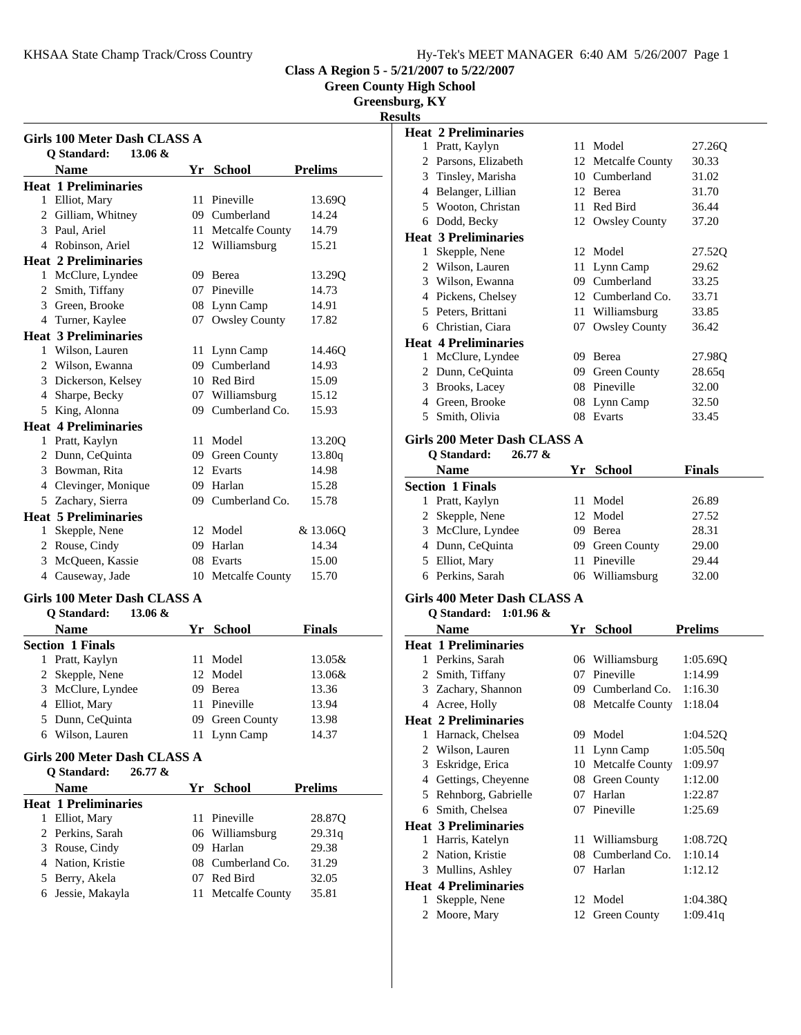| Hy-Tek's MEET MANAGER 6:40 AM 5/26/2007 Page 1 |  |  |
|------------------------------------------------|--|--|
|                                                |  |  |

**Green County High School**

**Greensburg, KY**

**Results**

|   | <b>Q</b> Standard:<br>$13.06 \&$<br>Name                  |    | Yr School                        | <b>Prelims</b> |
|---|-----------------------------------------------------------|----|----------------------------------|----------------|
|   | <b>Heat 1 Preliminaries</b>                               |    |                                  |                |
|   | 1 Elliot, Mary                                            |    | 11 Pineville                     | 13.69Q         |
|   | 2 Gilliam, Whitney                                        |    | 09 Cumberland                    | 14.24          |
|   | 3 Paul, Ariel                                             |    | 11 Metcalfe County               | 14.79          |
|   | 4 Robinson, Ariel                                         |    | 12 Williamsburg                  | 15.21          |
|   | <b>Heat 2 Preliminaries</b>                               |    |                                  |                |
|   | 1 McClure, Lyndee                                         |    | 09 Berea                         | 13.29Q         |
|   | 2 Smith, Tiffany                                          |    | 07 Pineville                     | 14.73          |
|   | 3 Green, Brooke                                           |    | 08 Lynn Camp                     | 14.91          |
|   | 4 Turner, Kaylee                                          |    | 07 Owsley County                 | 17.82          |
|   | <b>Heat 3 Preliminaries</b>                               |    |                                  |                |
|   | 1 Wilson, Lauren                                          |    | 11 Lynn Camp                     | 14.46Q         |
|   | 2 Wilson, Ewanna                                          |    | 09 Cumberland                    | 14.93          |
|   | 3 Dickerson, Kelsey                                       |    | 10 Red Bird                      | 15.09          |
|   | 4 Sharpe, Becky                                           |    | 07 Williamsburg                  | 15.12          |
|   | 5 King, Alonna                                            |    | 09 Cumberland Co.                | 15.93          |
|   | <b>Heat 4 Preliminaries</b>                               |    |                                  |                |
|   | 1 Pratt, Kaylyn                                           |    | 11 Model                         | 13.20Q         |
|   | 2 Dunn, CeQuinta                                          |    | 09 Green County                  | 13.80q         |
|   | 3 Bowman, Rita                                            |    | 12 Evarts                        | 14.98          |
|   | 4 Clevinger, Monique                                      |    | 09 Harlan                        | 15.28          |
|   | 5 Zachary, Sierra                                         |    | 09 Cumberland Co.                | 15.78          |
|   | <b>Heat 5 Preliminaries</b>                               |    |                                  |                |
| 1 | Skepple, Nene                                             |    | 12 Model                         | & 13.06Q       |
|   | 2 Rouse, Cindy                                            |    | 09 Harlan                        | 14.34          |
|   | 3 McQueen, Kassie                                         |    | 08 Evarts                        | 15.00          |
|   | 4 Causeway, Jade                                          |    | 10 Metcalfe County               | 15.70          |
|   |                                                           |    |                                  |                |
|   | Girls 100 Meter Dash CLASS A                              |    |                                  |                |
|   | $13.06 \&$<br><b>Q</b> Standard:                          |    |                                  |                |
|   | <b>Name</b>                                               |    | Yr School                        | Finals         |
|   | <b>Section 1 Finals</b>                                   |    |                                  |                |
|   | 1 Pratt, Kaylyn                                           |    | 11 Model                         | 13.05&         |
|   | 2 Skepple, Nene                                           |    | 12 Model                         | 13.06&         |
| 3 | McClure, Lyndee                                           |    | 09 Berea                         | 13.36          |
|   | 4 Elliot, Mary                                            |    | 11 Pineville                     | 13.94          |
|   | 5 Dunn, CeQuinta                                          |    | 09 Green County                  | 13.98          |
|   | 6 Wilson, Lauren                                          | 11 | Lynn Camp                        | 14.37          |
|   | Girls 200 Meter Dash CLASS A<br>Q Standard:<br>$26.77 \&$ |    |                                  |                |
|   | <b>Name</b>                                               | Yr | <b>School</b>                    | <b>Prelims</b> |
|   | <b>Heat 1 Preliminaries</b>                               |    |                                  |                |
|   |                                                           |    | 11 Pineville                     | 28.870         |
|   |                                                           |    |                                  |                |
|   | 1 Elliot, Mary                                            |    |                                  |                |
|   | 2 Perkins, Sarah                                          |    | 06 Williamsburg                  | 29.31q         |
|   | 3 Rouse, Cindy                                            |    | 09 Harlan                        | 29.38          |
|   | 4 Nation, Kristie<br>5 Berry, Akela                       |    | 08 Cumberland Co.<br>07 Red Bird | 31.29<br>32.05 |

|                             | <b>Heat 2 Preliminaries</b> |     |                      |        |
|-----------------------------|-----------------------------|-----|----------------------|--------|
| 1                           | Pratt, Kaylyn               |     | 11 Model             | 27.26Q |
| $\mathcal{D}_{\mathcal{L}}$ | Parsons, Elizabeth          |     | 12 Metcalfe County   | 30.33  |
| 3                           | Tinsley, Marisha            |     | 10 Cumberland        | 31.02  |
| 4                           | Belanger, Lillian           |     | 12 Berea             | 31.70  |
| 5                           | Wooton, Christan            | 11. | Red Bird             | 36.44  |
| 6                           | Dodd, Becky                 |     | 12 Owsley County     | 37.20  |
|                             | <b>Heat 3 Preliminaries</b> |     |                      |        |
| 1                           | Skepple, Nene               |     | 12 Model             | 27.52Q |
| 2                           | Wilson, Lauren              |     | 11 Lynn Camp         | 29.62  |
| 3                           | Wilson, Ewanna              |     | 09 Cumberland        | 33.25  |
| 4                           | Pickens, Chelsey            |     | 12 Cumberland Co.    | 33.71  |
| 5                           | Peters, Brittani            | 11  | Williamsburg         | 33.85  |
| 6                           | Christian, Ciara            | 07  | <b>Owsley County</b> | 36.42  |
|                             | <b>Heat 4 Preliminaries</b> |     |                      |        |
| 1                           | McClure, Lyndee             | 09  | Berea                | 27.98Q |
| 2                           | Dunn, CeQuinta              | 09  | <b>Green County</b>  | 28.65q |
| 3                           | Brooks, Lacey               | 08  | Pineville            | 32.00  |
| 4                           | Green, Brooke               |     | 08 Lynn Camp         | 32.50  |
| 5                           | Smith, Olivia               | 08  | Evarts               | 33.45  |
|                             |                             |     |                      |        |

## **Girls 200 Meter Dash CLASS A**

**Q Standard: 26.77 &**

| <b>Name</b>             | Yr School       | <b>Finals</b> |  |
|-------------------------|-----------------|---------------|--|
| <b>Section 1 Finals</b> |                 |               |  |
| 1 Pratt, Kaylyn         | 11 Model        | 26.89         |  |
| 2 Skepple, Nene         | 12 Model        | 27.52         |  |
| 3 McClure, Lyndee       | 09 Berea        | 28.31         |  |
| 4 Dunn, CeQuinta        | 09 Green County | 29.00         |  |
| 5 Elliot, Mary          | 11 Pineville    | 29.44         |  |
| 6 Perkins, Sarah        | 06 Williamsburg | 32.00         |  |

## **Girls 400 Meter Dash CLASS A**

**Q Standard: 1:01.96 &**

|   | Name                        | Yr | <b>School</b>      | <b>Prelims</b> |
|---|-----------------------------|----|--------------------|----------------|
|   | <b>Heat 1 Preliminaries</b> |    |                    |                |
| 1 | Perkins, Sarah              |    | 06 Williamsburg    | 1:05.69Q       |
| 2 | Smith, Tiffany              | 07 | Pineville          | 1:14.99        |
|   | 3 Zachary, Shannon          |    | 09 Cumberland Co.  | 1:16.30        |
| 4 | Acree, Holly                |    | 08 Metcalfe County | 1:18.04        |
|   | <b>Heat 2 Preliminaries</b> |    |                    |                |
| 1 | Harnack, Chelsea            | 09 | Model              | 1:04.52Q       |
| 2 | Wilson, Lauren              |    | 11 Lynn Camp       | 1:05.50q       |
| 3 | Eskridge, Erica             |    | 10 Metcalfe County | 1:09.97        |
| 4 | Gettings, Cheyenne          |    | 08 Green County    | 1:12.00        |
| 5 | Rehnborg, Gabrielle         | 07 | Harlan             | 1:22.87        |
| 6 | Smith, Chelsea              | 07 | Pineville          | 1:25.69        |
|   | <b>Heat 3 Preliminaries</b> |    |                    |                |
| 1 | Harris, Katelyn             | 11 | Williamsburg       | 1:08.72Q       |
| 2 | Nation, Kristie             | 08 | Cumberland Co.     | 1:10.14        |
| 3 | Mullins, Ashley             | 07 | Harlan             | 1:12.12        |
|   | <b>Heat 4 Preliminaries</b> |    |                    |                |
| 1 | Skepple, Nene               |    | 12 Model           | 1:04.38Q       |
| 2 | Moore, Mary                 |    | 12 Green County    | 1:09.41g       |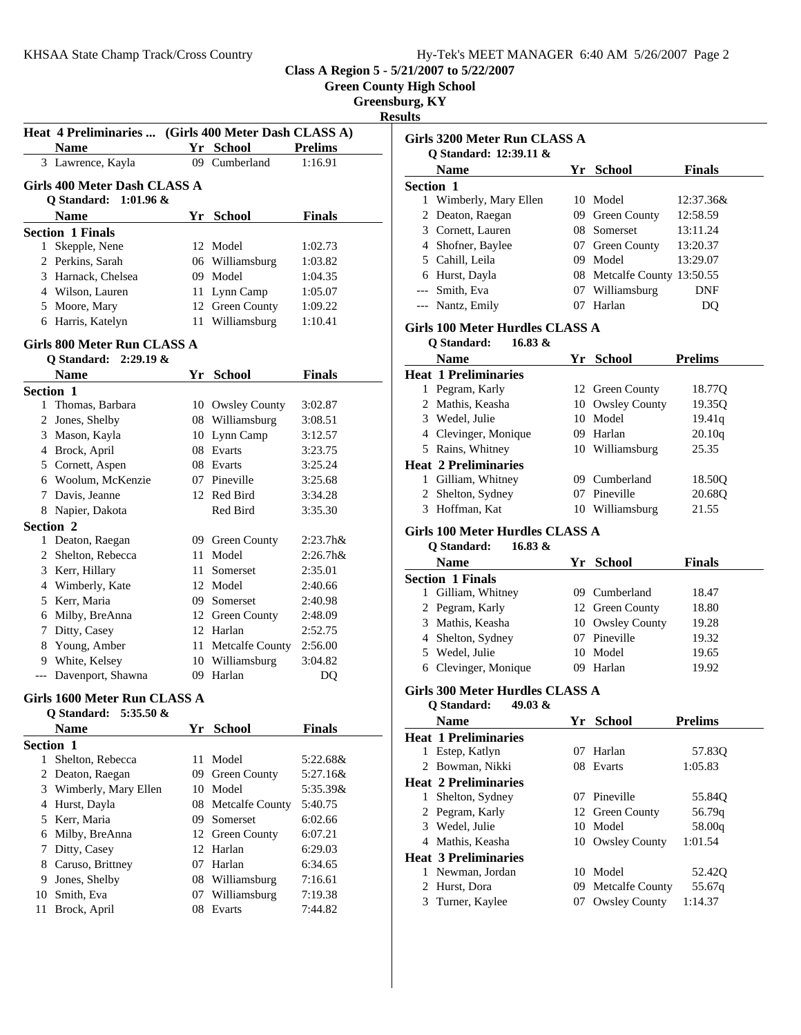**Green County High School**

**Greensburg, KY**

**Results**

|       | Heat 4 Preliminaries  (Girls 400 Meter Dash CLASS A)            |    |                     |                    |
|-------|-----------------------------------------------------------------|----|---------------------|--------------------|
|       | <b>Name</b>                                                     |    | Yr School           | <b>Prelims</b>     |
|       | 3 Lawrence, Kayla                                               |    | 09 Cumberland       | 1:16.91            |
|       | Girls 400 Meter Dash CLASS A                                    |    |                     |                    |
|       | O Standard:<br>$1:01.96 \&$                                     |    |                     |                    |
|       | Name                                                            |    | Yr School           | <b>Finals</b>      |
|       | <b>Section 1 Finals</b>                                         |    |                     |                    |
| 1     | Skepple, Nene                                                   | 12 | Model               | 1:02.73            |
|       | 2 Perkins, Sarah                                                |    | 06 Williamsburg     | 1:03.82            |
|       | 3 Harnack, Chelsea                                              |    | 09 Model            | 1:04.35            |
|       | 4 Wilson, Lauren                                                |    | 11 Lynn Camp        | 1:05.07            |
|       | 5 Moore, Mary                                                   |    | 12 Green County     | 1:09.22            |
|       | 6 Harris, Katelyn                                               |    | 11 Williamsburg     | 1:10.41            |
|       | Girls 800 Meter Run CLASS A                                     |    |                     |                    |
|       | Q Standard: 2:29.19 &                                           |    |                     |                    |
|       | <b>Name</b>                                                     |    | Yr School           | <b>Finals</b>      |
|       | Section 1<br>1 Thomas, Barbara                                  |    | 10 Owsley County    | 3:02.87            |
|       |                                                                 |    | 08 Williamsburg     |                    |
|       | 2 Jones, Shelby<br>3 Mason, Kayla                               | 10 | Lynn Camp           | 3:08.51<br>3:12.57 |
|       | 4 Brock, April                                                  | 08 | Evarts              | 3:23.75            |
|       |                                                                 | 08 | Evarts              | 3:25.24            |
|       | 5 Cornett, Aspen<br>6 Woolum, McKenzie                          |    | 07 Pineville        |                    |
|       |                                                                 |    |                     | 3:25.68            |
|       | 7 Davis, Jeanne                                                 |    | 12 Red Bird         | 3:34.28            |
|       | 8 Napier, Dakota                                                |    | Red Bird            | 3:35.30            |
|       | Section 2                                                       |    |                     |                    |
|       | 1 Deaton, Raegan                                                |    | 09 Green County     | $2:23.7h$ &        |
|       | 2 Shelton, Rebecca                                              |    | 11 Model            | $2:26.7h$ &        |
|       | 3 Kerr, Hillary                                                 |    | 11 Somerset         | 2:35.01            |
|       | 4 Wimberly, Kate                                                |    | 12 Model            | 2:40.66            |
|       | 5 Kerr, Maria                                                   |    | 09 Somerset         | 2:40.98            |
|       | 6 Milby, BreAnna                                                |    | 12 Green County     | 2:48.09            |
|       | 7 Ditty, Casey                                                  |    | 12 Harlan           | 2:52.75            |
|       | 8 Young, Amber                                                  |    | 11 Metcalfe County  | 2:56.00            |
|       | 9 White, Kelsey                                                 |    | 10 Williamsburg     | 3:04.82            |
| $---$ | Davenport, Shawna                                               |    | 09 Harlan           | DQ                 |
|       | <b>Girls 1600 Meter Run CLASS A</b><br>Q Standard: $5:35.50 \&$ |    |                     |                    |
|       | Name                                                            |    | Yr School           | Finals             |
|       | Section 1                                                       |    |                     |                    |
| 1     | Shelton, Rebecca                                                | 11 | Model               | 5:22.68&           |
|       | 2 Deaton, Raegan                                                | 09 | <b>Green County</b> | 5:27.16&           |
|       | 3 Wimberly, Mary Ellen                                          | 10 | Model               | 5:35.39&           |
|       | 4 Hurst, Dayla                                                  | 08 | Metcalfe County     | 5:40.75            |
|       | 5 Kerr, Maria                                                   | 09 | Somerset            | 6:02.66            |
|       | 6 Milby, BreAnna                                                | 12 | Green County        | 6:07.21            |
| 7     | Ditty, Casey                                                    | 12 | Harlan              | 6:29.03            |
|       | 8 Caruso, Brittney                                              | 07 | Harlan              | 6:34.65            |
|       | 9 Jones, Shelby                                                 |    | 08 Williamsburg     | 7:16.61            |
|       | 10 Smith, Eva                                                   | 07 | Williamsburg        | 7:19.38            |
|       |                                                                 |    | Evarts              |                    |
| 11    | Brock, April                                                    | 08 |                     | 7:44.82            |
|       |                                                                 |    |                     |                    |

| <b>Girls 3200 Meter Run CLASS A</b>                              |    |                             |                   |
|------------------------------------------------------------------|----|-----------------------------|-------------------|
| O Standard: 12:39.11 &                                           |    |                             |                   |
| <b>Name</b>                                                      |    | Yr School                   | <b>Finals</b>     |
| Section 1                                                        |    |                             |                   |
| 1 Wimberly, Mary Ellen                                           |    | 10 Model                    | 12:37.36&         |
| 2 Deaton, Raegan                                                 |    | 09 Green County             | 12:58.59          |
| 3 Cornett, Lauren                                                |    | 08 Somerset                 | 13:11.24          |
| 4 Shofner, Baylee                                                |    | 07 Green County             | 13:20.37          |
| 5 Cahill, Leila                                                  |    | 09 Model                    | 13:29.07          |
| 6 Hurst, Dayla                                                   |    | 08 Metcalfe County 13:50.55 |                   |
| --- Smith, Eva                                                   |    | 07 Williamsburg             | <b>DNF</b>        |
| --- Nantz, Emily                                                 |    | 07 Harlan                   | DQ                |
| Girls 100 Meter Hurdles CLASS A                                  |    |                             |                   |
| Q Standard:<br>16.83 &                                           |    |                             |                   |
| <b>Name</b>                                                      |    | Yr School                   | <b>Prelims</b>    |
| <b>Heat 1 Preliminaries</b>                                      |    |                             |                   |
| 1 Pegram, Karly                                                  |    | 12 Green County             | 18.77Q            |
| 2 Mathis, Keasha                                                 |    | 10 Owsley County            | 19.35Q            |
| 3 Wedel, Julie                                                   |    | 10 Model                    | 19.41q            |
| 4 Clevinger, Monique                                             |    | 09 Harlan                   | 20.10q            |
| 5 Rains, Whitney                                                 |    | 10 Williamsburg             | 25.35             |
| <b>Heat 2 Preliminaries</b>                                      |    |                             |                   |
| 1 Gilliam, Whitney                                               |    | 09 Cumberland               | 18.50Q            |
| 2 Shelton, Sydney                                                |    | 07 Pineville                | 20.68Q            |
| 3 Hoffman, Kat                                                   |    | 10 Williamsburg             | 21.55             |
| Girls 100 Meter Hurdles CLASS A<br>Q Standard:<br>16.83 &        |    |                             |                   |
| <b>Name</b>                                                      |    | Yr School                   | <b>Finals</b>     |
| <b>Section 1 Finals</b>                                          |    |                             |                   |
| 1 Gilliam, Whitney                                               |    | 09 Cumberland               | 18.47             |
| 2 Pegram, Karly                                                  |    | 12 Green County             | 18.80             |
| 3 Mathis, Keasha                                                 |    | 10 Owsley County            | 19.28             |
| 4 Shelton, Sydney                                                |    | 07 Pineville                | 19.32             |
| 5 Wedel, Julie                                                   |    | 10 Model                    | 19.65             |
| 6 Clevinger, Monique                                             |    | 09 Harlan                   |                   |
|                                                                  |    |                             | 19.92             |
| <b>Girls 300 Meter Hurdles CLASS A</b><br>49.03 &<br>Q Standard: |    |                             |                   |
| Name                                                             | Υr | <b>School</b>               | <b>Prelims</b>    |
| <b>Heat 1 Preliminaries</b>                                      |    |                             |                   |
| Estep, Katlyn<br>1                                               | 07 | Harlan                      | 57.83Q            |
| Bowman, Nikki<br>2                                               | 08 | Evarts                      | 1:05.83           |
| <b>Heat 2 Preliminaries</b>                                      |    |                             |                   |
| Shelton, Sydney<br>1                                             |    | 07 Pineville                | 55.84Q            |
| 2 Pegram, Karly                                                  |    | 12 Green County             | 56.79q            |
| 3 Wedel, Julie                                                   |    | 10 Model                    | 58.00q            |
| 4 Mathis, Keasha                                                 |    | 10 Owsley County            | 1:01.54           |
| <b>Heat 3 Preliminaries</b>                                      |    |                             |                   |
| Newman, Jordan<br>1                                              |    | 10 Model                    | 52.42Q            |
| 2<br>Hurst, Dora                                                 | 09 | Metcalfe County             |                   |
| 3                                                                | 07 |                             | 55.67q<br>1:14.37 |
| Turner, Kaylee                                                   |    | <b>Owsley County</b>        |                   |
|                                                                  |    |                             |                   |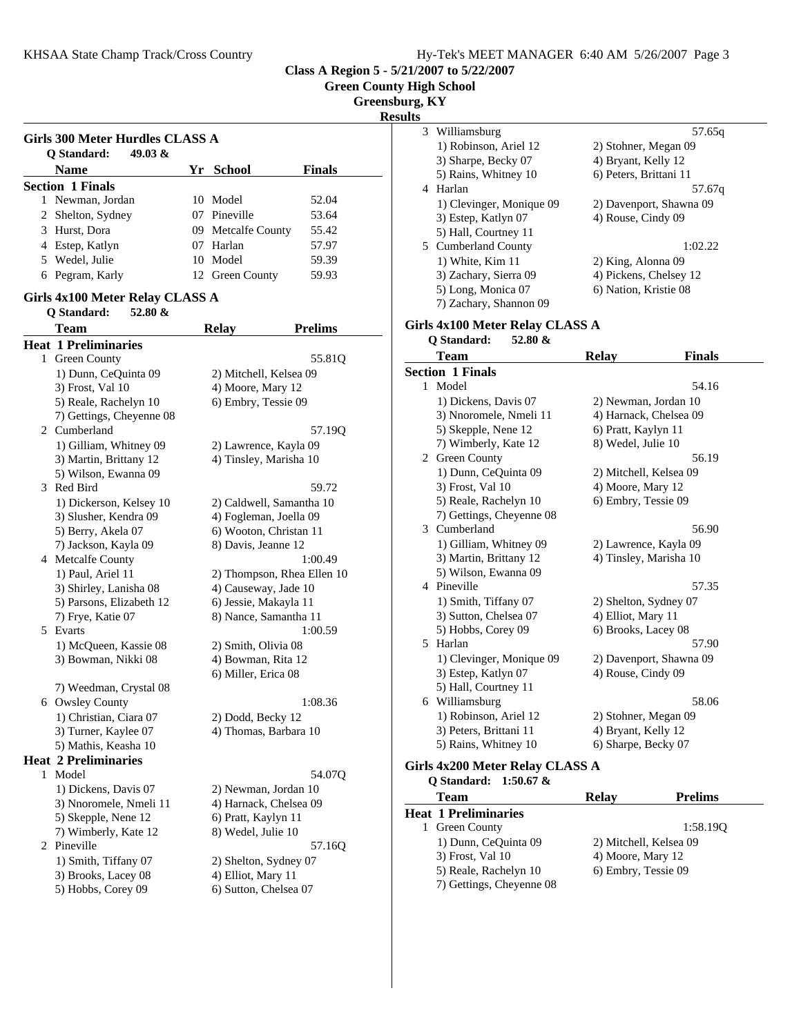**Green County High School**

**Greensburg, KY**

**Result** 

|   | <b>Girls 300 Meter Hurdles CLASS A</b> |                            |                |
|---|----------------------------------------|----------------------------|----------------|
|   | 49.03 &<br>O Standard:                 |                            |                |
|   | <b>Name</b>                            | Yr School                  | Finals         |
|   | <b>Section 1 Finals</b>                |                            |                |
|   | 1 Newman, Jordan                       | 10 Model                   | 52.04          |
|   | 2 Shelton, Sydney                      | 07 Pineville               | 53.64          |
|   | 3 Hurst, Dora                          | 09 Metcalfe County         | 55.42          |
|   | 4 Estep, Katlyn                        | 07 Harlan                  | 57.97          |
|   | 5 Wedel, Julie                         | 10 Model                   | 59.39          |
|   | 6 Pegram, Karly                        | 12 Green County            | 59.93          |
|   | Girls 4x100 Meter Relay CLASS A        |                            |                |
|   | Q Standard:<br>52.80 $&$               |                            |                |
|   | <b>Team</b>                            | <b>Relay</b>               | <b>Prelims</b> |
|   | <b>Heat 1 Preliminaries</b>            |                            |                |
|   | 1 Green County                         |                            | 55.81Q         |
|   | 1) Dunn, CeQuinta 09                   | 2) Mitchell, Kelsea 09     |                |
|   | 3) Frost, Val 10                       | 4) Moore, Mary 12          |                |
|   | 5) Reale, Rachelyn 10                  | 6) Embry, Tessie 09        |                |
|   | 7) Gettings, Cheyenne 08               |                            |                |
|   | 2 Cumberland                           |                            | 57.19Q         |
|   | 1) Gilliam, Whitney 09                 | 2) Lawrence, Kayla 09      |                |
|   | 3) Martin, Brittany 12                 | 4) Tinsley, Marisha 10     |                |
|   | 5) Wilson, Ewanna 09                   |                            |                |
|   | 3 Red Bird                             |                            | 59.72          |
|   | 1) Dickerson, Kelsey 10                | 2) Caldwell, Samantha 10   |                |
|   | 3) Slusher, Kendra 09                  | 4) Fogleman, Joella 09     |                |
|   | 5) Berry, Akela 07                     | 6) Wooton, Christan 11     |                |
|   | 7) Jackson, Kayla 09                   | 8) Davis, Jeanne 12        |                |
|   | 4 Metcalfe County                      |                            | 1:00.49        |
|   | 1) Paul, Ariel 11                      | 2) Thompson, Rhea Ellen 10 |                |
|   | 3) Shirley, Lanisha 08                 | 4) Causeway, Jade 10       |                |
|   | 5) Parsons, Elizabeth 12               | 6) Jessie, Makayla 11      |                |
|   | 7) Frye, Katie 07                      | 8) Nance, Samantha 11      |                |
|   | 5 Evarts                               |                            | 1:00.59        |
|   | 1) McQueen, Kassie 08                  | 2) Smith, Olivia 08        |                |
|   | 3) Bowman, Nikki 08                    | 4) Bowman, Rita 12         |                |
|   |                                        | 6) Miller, Erica 08        |                |
|   | 7) Weedman, Crystal 08                 |                            |                |
|   | 6 Owsley County                        |                            | 1:08.36        |
|   | 1) Christian, Ciara 07                 | 2) Dodd, Becky 12          |                |
|   | 3) Turner, Kaylee 07                   | 4) Thomas, Barbara 10      |                |
|   | 5) Mathis, Keasha 10                   |                            |                |
|   | <b>Heat 2 Preliminaries</b>            |                            |                |
| 1 | Model                                  |                            | 54.07Q         |
|   | 1) Dickens, Davis 07                   | 2) Newman, Jordan 10       |                |
|   | 3) Nnoromele, Nmeli 11                 | 4) Harnack, Chelsea 09     |                |
|   | 5) Skepple, Nene 12                    | 6) Pratt, Kaylyn 11        |                |
|   | 7) Wimberly, Kate 12                   | 8) Wedel, Julie 10         |                |
|   | 2 Pineville                            |                            | 57.16Q         |
|   | 1) Smith, Tiffany 07                   | 2) Shelton, Sydney 07      |                |
|   | 3) Brooks, Lacey 08                    | 4) Elliot, Mary 11         |                |
|   | 5) Hobbs, Corey 09                     | 6) Sutton, Chelsea 07      |                |

| ılts |                                 |                                           |                         |  |
|------|---------------------------------|-------------------------------------------|-------------------------|--|
| 3    | Williamsburg                    |                                           | 57.65q                  |  |
|      | 1) Robinson, Ariel 12           | 2) Stohner, Megan 09                      |                         |  |
|      | 3) Sharpe, Becky 07             | 4) Bryant, Kelly 12                       |                         |  |
|      | 5) Rains, Whitney 10            | 6) Peters, Brittani 11                    |                         |  |
|      | 4 Harlan                        |                                           | 57.67q                  |  |
|      | 1) Clevinger, Monique 09        |                                           | 2) Davenport, Shawna 09 |  |
|      | 3) Estep, Katlyn 07             | 4) Rouse, Cindy 09                        |                         |  |
|      | 5) Hall, Courtney 11            |                                           |                         |  |
|      | 5 Cumberland County             |                                           | 1:02.22                 |  |
|      | 1) White, Kim 11                | 2) King, Alonna 09                        |                         |  |
|      | 3) Zachary, Sierra 09           | 4) Pickens, Chelsey 12                    |                         |  |
|      | 5) Long, Monica 07              | 6) Nation, Kristie 08                     |                         |  |
|      | 7) Zachary, Shannon 09          |                                           |                         |  |
|      | Girls 4x100 Meter Relay CLASS A |                                           |                         |  |
|      | Q Standard:<br>52.80 $\&$       |                                           |                         |  |
|      | <b>Team</b>                     | <b>Relay</b>                              | Finals                  |  |
|      | <b>Section 1 Finals</b>         |                                           |                         |  |
| 1    | Model                           |                                           | 54.16                   |  |
|      | 1) Dickens, Davis 07            | 2) Newman, Jordan 10                      |                         |  |
|      | 3) Nnoromele, Nmeli 11          | 4) Harnack, Chelsea 09                    |                         |  |
|      | 5) Skepple, Nene 12             | 6) Pratt, Kaylyn 11                       |                         |  |
|      | 7) Wimberly, Kate 12            | 8) Wedel, Julie 10                        |                         |  |
|      | 2 Green County                  |                                           | 56.19                   |  |
|      | 1) Dunn, CeQuinta 09            | 2) Mitchell, Kelsea 09                    |                         |  |
|      | 3) Frost, Val 10                | 4) Moore, Mary 12                         |                         |  |
|      | 5) Reale, Rachelyn 10           | 6) Embry, Tessie 09                       |                         |  |
|      | 7) Gettings, Cheyenne 08        |                                           |                         |  |
| 3    | Cumberland                      |                                           | 56.90                   |  |
|      | 1) Gilliam, Whitney 09          | 2) Lawrence, Kayla 09                     |                         |  |
|      | 3) Martin, Brittany 12          | 4) Tinsley, Marisha 10                    |                         |  |
|      | 5) Wilson, Ewanna 09            |                                           |                         |  |
|      | 4 Pineville                     |                                           | 57.35                   |  |
|      | 1) Smith, Tiffany 07            | 2) Shelton, Sydney 07                     |                         |  |
|      | 3) Sutton, Chelsea 07           | 4) Elliot, Mary 11<br>6) Brooks, Lacey 08 |                         |  |
| 5    | 5) Hobbs, Corey 09<br>Harlan    |                                           | 57.90                   |  |
|      | 1) Clevinger, Monique 09        |                                           | 2) Davenport, Shawna 09 |  |
|      | 3) Estep, Katlyn 07             | 4) Rouse, Cindy 09                        |                         |  |
|      | 5) Hall, Courtney 11            |                                           |                         |  |
|      | 6 Williamsburg                  |                                           | 58.06                   |  |
|      | 1) Robinson, Ariel 12           | 2) Stohner, Megan 09                      |                         |  |
|      | 3) Peters, Brittani 11          | 4) Bryant, Kelly 12                       |                         |  |
|      | 5) Rains, Whitney 10            | 6) Sharpe, Becky 07                       |                         |  |
|      | Girls 4x200 Meter Relay CLASS A |                                           |                         |  |
|      | $1:50.67$ &<br>Q Standard:      |                                           |                         |  |
|      | <b>Team</b>                     | <b>Relay</b>                              | <b>Prelims</b>          |  |
|      | <b>Heat 1 Preliminaries</b>     |                                           |                         |  |
| 1    | Green County                    |                                           | 1:58.19Q                |  |
|      | 1) Dunn, CeQuinta 09            | 2) Mitchell, Kelsea 09                    |                         |  |
|      | 3) Frost, Val 10                | 4) Moore, Mary 12                         |                         |  |
|      | 5) Reale, Rachelyn 10           | 6) Embry, Tessie 09                       |                         |  |
|      | 7) Gettings, Cheyenne 08        |                                           |                         |  |
|      |                                 |                                           |                         |  |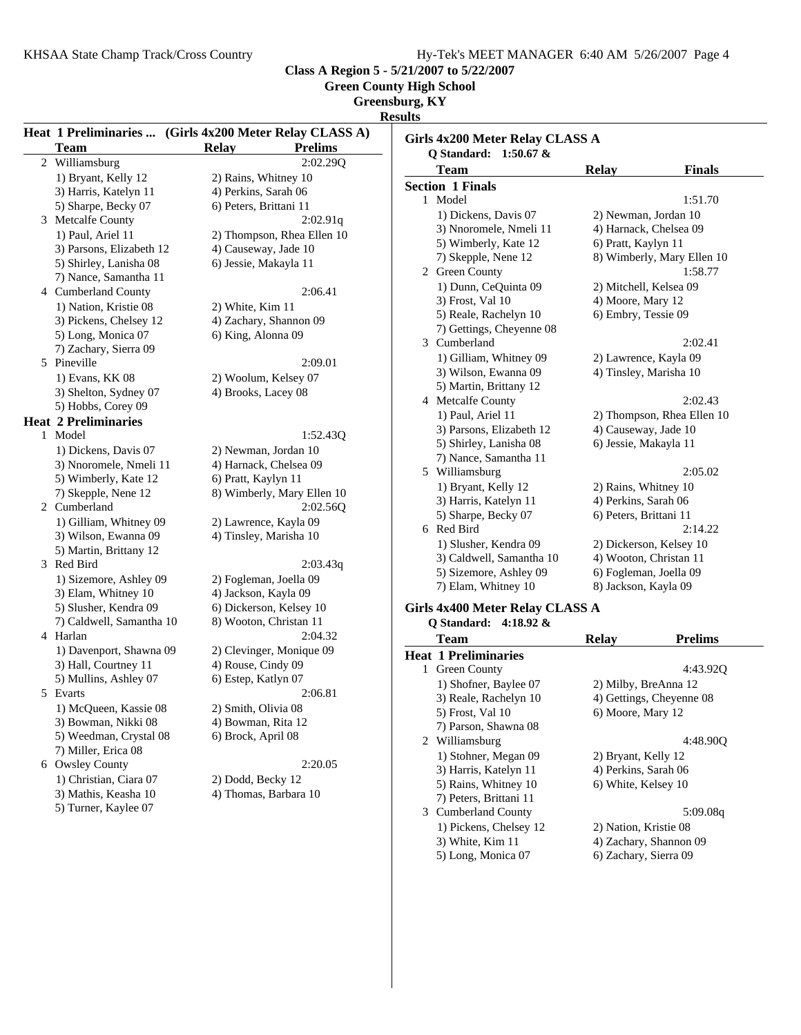**Green County High School**

**Greensburg, KY**

**Results**

| <b>Team</b><br><b>Relay</b><br><b>Prelims</b><br>Q Standard: 1:50.67 &<br>2:02.29Q<br>2 Williamsburg<br><b>Relay</b><br><b>Team</b><br><b>Finals</b><br>1) Bryant, Kelly 12<br>2) Rains, Whitney 10<br><b>Section 1 Finals</b><br>3) Harris, Katelyn 11<br>4) Perkins, Sarah 06<br>1 Model<br>1:51.70<br>5) Sharpe, Becky 07<br>6) Peters, Brittani 11<br>1) Dickens, Davis 07<br>2) Newman, Jordan 10<br>3 Metcalfe County<br>2:02.91q<br>4) Harnack, Chelsea 09<br>3) Nnoromele, Nmeli 11<br>1) Paul, Ariel 11<br>2) Thompson, Rhea Ellen 10<br>5) Wimberly, Kate 12<br>6) Pratt, Kaylyn 11<br>4) Causeway, Jade 10<br>3) Parsons, Elizabeth 12<br>7) Skepple, Nene 12<br>5) Shirley, Lanisha 08<br>6) Jessie, Makayla 11<br>2 Green County<br>1:58.77<br>7) Nance, Samantha 11<br>1) Dunn, CeQuinta 09<br>2) Mitchell, Kelsea 09<br>4 Cumberland County<br>2:06.41<br>3) Frost, Val 10<br>4) Moore, Mary 12<br>1) Nation, Kristie 08<br>2) White, Kim 11<br>6) Embry, Tessie 09<br>5) Reale, Rachelyn 10<br>4) Zachary, Shannon 09<br>3) Pickens, Chelsey 12<br>7) Gettings, Cheyenne 08<br>5) Long, Monica 07<br>6) King, Alonna 09<br>3 Cumberland<br>2:02.41<br>7) Zachary, Sierra 09<br>1) Gilliam, Whitney 09<br>2) Lawrence, Kayla 09<br>5 Pineville<br>2:09.01<br>4) Tinsley, Marisha 10<br>3) Wilson, Ewanna 09<br>1) Evans, KK 08<br>2) Woolum, Kelsey 07<br>5) Martin, Brittany 12<br>3) Shelton, Sydney 07<br>4) Brooks, Lacey 08<br>2:02.43<br>4 Metcalfe County<br>5) Hobbs, Corey 09<br>1) Paul, Ariel 11<br><b>Heat 2 Preliminaries</b><br>3) Parsons, Elizabeth 12<br>4) Causeway, Jade 10<br>1 Model<br>1:52.43Q<br>5) Shirley, Lanisha 08<br>6) Jessie, Makayla 11<br>1) Dickens, Davis 07<br>2) Newman, Jordan 10<br>7) Nance, Samantha 11<br>4) Harnack, Chelsea 09<br>3) Nnoromele, Nmeli 11<br>5 Williamsburg<br>2:05.02<br>5) Wimberly, Kate 12<br>6) Pratt, Kaylyn 11<br>2) Rains, Whitney 10<br>1) Bryant, Kelly 12<br>7) Skepple, Nene 12<br>8) Wimberly, Mary Ellen 10<br>3) Harris, Katelyn 11<br>4) Perkins, Sarah 06<br>2 Cumberland<br>2:02.56Q<br>5) Sharpe, Becky 07<br>6) Peters, Brittani 11<br>1) Gilliam, Whitney 09<br>2) Lawrence, Kayla 09<br>6 Red Bird<br>2:14.22<br>3) Wilson, Ewanna 09<br>4) Tinsley, Marisha 10<br>1) Slusher, Kendra 09<br>2) Dickerson, Kelsey 10<br>5) Martin, Brittany 12<br>3) Caldwell, Samantha 10<br>4) Wooton, Christan 11<br>3 Red Bird<br>2:03.43q<br>5) Sizemore, Ashley 09<br>6) Fogleman, Joella 09<br>1) Sizemore, Ashley 09<br>2) Fogleman, Joella 09<br>7) Elam, Whitney 10<br>8) Jackson, Kayla 09<br>3) Elam, Whitney 10<br>4) Jackson, Kayla 09<br>6) Dickerson, Kelsey 10<br>5) Slusher, Kendra 09<br>Girls 4x400 Meter Relay CLASS A<br>8) Wooton, Christan 11<br>7) Caldwell, Samantha 10<br>Q Standard: 4:18.92 &<br>2:04.32<br>4 Harlan<br><b>Relay</b><br><b>Prelims</b><br><b>Team</b><br>1) Davenport, Shawna 09<br>2) Clevinger, Monique 09<br><b>Heat 1 Preliminaries</b><br>4) Rouse, Cindy 09<br>3) Hall, Courtney 11<br>1 Green County<br>5) Mullins, Ashley 07<br>6) Estep, Katlyn 07<br>1) Shofner, Baylee 07<br>2) Milby, BreAnna 12<br>2:06.81<br>5 Evarts<br>3) Reale, Rachelyn 10<br>4) Gettings, Cheyenne 08<br>1) McQueen, Kassie 08<br>2) Smith, Olivia 08<br>5) Frost, Val 10<br>6) Moore, Mary 12<br>3) Bowman, Nikki 08<br>4) Bowman, Rita 12<br>7) Parson, Shawna 08<br>5) Weedman, Crystal 08<br>6) Brock, April 08<br>2 Williamsburg<br>7) Miller, Erica 08<br>1) Stohner, Megan 09<br>2) Bryant, Kelly 12<br>2:20.05<br>6 Owsley County<br>4) Perkins, Sarah 06<br>3) Harris, Katelyn 11<br>1) Christian, Ciara 07<br>2) Dodd, Becky 12<br>5) Rains, Whitney 10<br>6) White, Kelsey 10<br>3) Mathis, Keasha 10<br>4) Thomas, Barbara 10<br>7) Peters, Brittani 11<br>5) Turner, Kaylee 07<br>3 Cumberland County<br>1) Pickens, Chelsey 12<br>2) Nation, Kristie 08<br>3) White, Kim 11<br>4) Zachary, Shannon 09<br>6) Zachary, Sierra 09 |  | Heat 1 Preliminaries  (Girls 4x200 Meter Relay CLASS A) | <b>IZCONITO</b><br>Girls 4x200 Meter Relay CLASS A |  |
|--------------------------------------------------------------------------------------------------------------------------------------------------------------------------------------------------------------------------------------------------------------------------------------------------------------------------------------------------------------------------------------------------------------------------------------------------------------------------------------------------------------------------------------------------------------------------------------------------------------------------------------------------------------------------------------------------------------------------------------------------------------------------------------------------------------------------------------------------------------------------------------------------------------------------------------------------------------------------------------------------------------------------------------------------------------------------------------------------------------------------------------------------------------------------------------------------------------------------------------------------------------------------------------------------------------------------------------------------------------------------------------------------------------------------------------------------------------------------------------------------------------------------------------------------------------------------------------------------------------------------------------------------------------------------------------------------------------------------------------------------------------------------------------------------------------------------------------------------------------------------------------------------------------------------------------------------------------------------------------------------------------------------------------------------------------------------------------------------------------------------------------------------------------------------------------------------------------------------------------------------------------------------------------------------------------------------------------------------------------------------------------------------------------------------------------------------------------------------------------------------------------------------------------------------------------------------------------------------------------------------------------------------------------------------------------------------------------------------------------------------------------------------------------------------------------------------------------------------------------------------------------------------------------------------------------------------------------------------------------------------------------------------------------------------------------------------------------------------------------------------------------------------------------------------------------------------------------------------------------------------------------------------------------------------------------------------------------------------------------------------------------------------------------------------------------------------------------------------------------------------------------------------------------------------------------------------------------------------------------------------------------------------------------------------------------------------------------------------------------------------------------------------------------------------------------------------------------------------------------------------------------------------------------------------------------------------------------|--|---------------------------------------------------------|----------------------------------------------------|--|
|                                                                                                                                                                                                                                                                                                                                                                                                                                                                                                                                                                                                                                                                                                                                                                                                                                                                                                                                                                                                                                                                                                                                                                                                                                                                                                                                                                                                                                                                                                                                                                                                                                                                                                                                                                                                                                                                                                                                                                                                                                                                                                                                                                                                                                                                                                                                                                                                                                                                                                                                                                                                                                                                                                                                                                                                                                                                                                                                                                                                                                                                                                                                                                                                                                                                                                                                                                                                                                                                                                                                                                                                                                                                                                                                                                                                                                                                                                                                                              |  |                                                         |                                                    |  |
| 8) Wimberly, Mary Ellen 10                                                                                                                                                                                                                                                                                                                                                                                                                                                                                                                                                                                                                                                                                                                                                                                                                                                                                                                                                                                                                                                                                                                                                                                                                                                                                                                                                                                                                                                                                                                                                                                                                                                                                                                                                                                                                                                                                                                                                                                                                                                                                                                                                                                                                                                                                                                                                                                                                                                                                                                                                                                                                                                                                                                                                                                                                                                                                                                                                                                                                                                                                                                                                                                                                                                                                                                                                                                                                                                                                                                                                                                                                                                                                                                                                                                                                                                                                                                                   |  |                                                         |                                                    |  |
|                                                                                                                                                                                                                                                                                                                                                                                                                                                                                                                                                                                                                                                                                                                                                                                                                                                                                                                                                                                                                                                                                                                                                                                                                                                                                                                                                                                                                                                                                                                                                                                                                                                                                                                                                                                                                                                                                                                                                                                                                                                                                                                                                                                                                                                                                                                                                                                                                                                                                                                                                                                                                                                                                                                                                                                                                                                                                                                                                                                                                                                                                                                                                                                                                                                                                                                                                                                                                                                                                                                                                                                                                                                                                                                                                                                                                                                                                                                                                              |  |                                                         |                                                    |  |
|                                                                                                                                                                                                                                                                                                                                                                                                                                                                                                                                                                                                                                                                                                                                                                                                                                                                                                                                                                                                                                                                                                                                                                                                                                                                                                                                                                                                                                                                                                                                                                                                                                                                                                                                                                                                                                                                                                                                                                                                                                                                                                                                                                                                                                                                                                                                                                                                                                                                                                                                                                                                                                                                                                                                                                                                                                                                                                                                                                                                                                                                                                                                                                                                                                                                                                                                                                                                                                                                                                                                                                                                                                                                                                                                                                                                                                                                                                                                                              |  |                                                         |                                                    |  |
|                                                                                                                                                                                                                                                                                                                                                                                                                                                                                                                                                                                                                                                                                                                                                                                                                                                                                                                                                                                                                                                                                                                                                                                                                                                                                                                                                                                                                                                                                                                                                                                                                                                                                                                                                                                                                                                                                                                                                                                                                                                                                                                                                                                                                                                                                                                                                                                                                                                                                                                                                                                                                                                                                                                                                                                                                                                                                                                                                                                                                                                                                                                                                                                                                                                                                                                                                                                                                                                                                                                                                                                                                                                                                                                                                                                                                                                                                                                                                              |  |                                                         |                                                    |  |
|                                                                                                                                                                                                                                                                                                                                                                                                                                                                                                                                                                                                                                                                                                                                                                                                                                                                                                                                                                                                                                                                                                                                                                                                                                                                                                                                                                                                                                                                                                                                                                                                                                                                                                                                                                                                                                                                                                                                                                                                                                                                                                                                                                                                                                                                                                                                                                                                                                                                                                                                                                                                                                                                                                                                                                                                                                                                                                                                                                                                                                                                                                                                                                                                                                                                                                                                                                                                                                                                                                                                                                                                                                                                                                                                                                                                                                                                                                                                                              |  |                                                         |                                                    |  |
|                                                                                                                                                                                                                                                                                                                                                                                                                                                                                                                                                                                                                                                                                                                                                                                                                                                                                                                                                                                                                                                                                                                                                                                                                                                                                                                                                                                                                                                                                                                                                                                                                                                                                                                                                                                                                                                                                                                                                                                                                                                                                                                                                                                                                                                                                                                                                                                                                                                                                                                                                                                                                                                                                                                                                                                                                                                                                                                                                                                                                                                                                                                                                                                                                                                                                                                                                                                                                                                                                                                                                                                                                                                                                                                                                                                                                                                                                                                                                              |  |                                                         |                                                    |  |
|                                                                                                                                                                                                                                                                                                                                                                                                                                                                                                                                                                                                                                                                                                                                                                                                                                                                                                                                                                                                                                                                                                                                                                                                                                                                                                                                                                                                                                                                                                                                                                                                                                                                                                                                                                                                                                                                                                                                                                                                                                                                                                                                                                                                                                                                                                                                                                                                                                                                                                                                                                                                                                                                                                                                                                                                                                                                                                                                                                                                                                                                                                                                                                                                                                                                                                                                                                                                                                                                                                                                                                                                                                                                                                                                                                                                                                                                                                                                                              |  |                                                         |                                                    |  |
|                                                                                                                                                                                                                                                                                                                                                                                                                                                                                                                                                                                                                                                                                                                                                                                                                                                                                                                                                                                                                                                                                                                                                                                                                                                                                                                                                                                                                                                                                                                                                                                                                                                                                                                                                                                                                                                                                                                                                                                                                                                                                                                                                                                                                                                                                                                                                                                                                                                                                                                                                                                                                                                                                                                                                                                                                                                                                                                                                                                                                                                                                                                                                                                                                                                                                                                                                                                                                                                                                                                                                                                                                                                                                                                                                                                                                                                                                                                                                              |  |                                                         |                                                    |  |
|                                                                                                                                                                                                                                                                                                                                                                                                                                                                                                                                                                                                                                                                                                                                                                                                                                                                                                                                                                                                                                                                                                                                                                                                                                                                                                                                                                                                                                                                                                                                                                                                                                                                                                                                                                                                                                                                                                                                                                                                                                                                                                                                                                                                                                                                                                                                                                                                                                                                                                                                                                                                                                                                                                                                                                                                                                                                                                                                                                                                                                                                                                                                                                                                                                                                                                                                                                                                                                                                                                                                                                                                                                                                                                                                                                                                                                                                                                                                                              |  |                                                         |                                                    |  |
|                                                                                                                                                                                                                                                                                                                                                                                                                                                                                                                                                                                                                                                                                                                                                                                                                                                                                                                                                                                                                                                                                                                                                                                                                                                                                                                                                                                                                                                                                                                                                                                                                                                                                                                                                                                                                                                                                                                                                                                                                                                                                                                                                                                                                                                                                                                                                                                                                                                                                                                                                                                                                                                                                                                                                                                                                                                                                                                                                                                                                                                                                                                                                                                                                                                                                                                                                                                                                                                                                                                                                                                                                                                                                                                                                                                                                                                                                                                                                              |  |                                                         |                                                    |  |
|                                                                                                                                                                                                                                                                                                                                                                                                                                                                                                                                                                                                                                                                                                                                                                                                                                                                                                                                                                                                                                                                                                                                                                                                                                                                                                                                                                                                                                                                                                                                                                                                                                                                                                                                                                                                                                                                                                                                                                                                                                                                                                                                                                                                                                                                                                                                                                                                                                                                                                                                                                                                                                                                                                                                                                                                                                                                                                                                                                                                                                                                                                                                                                                                                                                                                                                                                                                                                                                                                                                                                                                                                                                                                                                                                                                                                                                                                                                                                              |  |                                                         |                                                    |  |
|                                                                                                                                                                                                                                                                                                                                                                                                                                                                                                                                                                                                                                                                                                                                                                                                                                                                                                                                                                                                                                                                                                                                                                                                                                                                                                                                                                                                                                                                                                                                                                                                                                                                                                                                                                                                                                                                                                                                                                                                                                                                                                                                                                                                                                                                                                                                                                                                                                                                                                                                                                                                                                                                                                                                                                                                                                                                                                                                                                                                                                                                                                                                                                                                                                                                                                                                                                                                                                                                                                                                                                                                                                                                                                                                                                                                                                                                                                                                                              |  |                                                         |                                                    |  |
|                                                                                                                                                                                                                                                                                                                                                                                                                                                                                                                                                                                                                                                                                                                                                                                                                                                                                                                                                                                                                                                                                                                                                                                                                                                                                                                                                                                                                                                                                                                                                                                                                                                                                                                                                                                                                                                                                                                                                                                                                                                                                                                                                                                                                                                                                                                                                                                                                                                                                                                                                                                                                                                                                                                                                                                                                                                                                                                                                                                                                                                                                                                                                                                                                                                                                                                                                                                                                                                                                                                                                                                                                                                                                                                                                                                                                                                                                                                                                              |  |                                                         |                                                    |  |
| 2) Thompson, Rhea Ellen 10                                                                                                                                                                                                                                                                                                                                                                                                                                                                                                                                                                                                                                                                                                                                                                                                                                                                                                                                                                                                                                                                                                                                                                                                                                                                                                                                                                                                                                                                                                                                                                                                                                                                                                                                                                                                                                                                                                                                                                                                                                                                                                                                                                                                                                                                                                                                                                                                                                                                                                                                                                                                                                                                                                                                                                                                                                                                                                                                                                                                                                                                                                                                                                                                                                                                                                                                                                                                                                                                                                                                                                                                                                                                                                                                                                                                                                                                                                                                   |  |                                                         |                                                    |  |
|                                                                                                                                                                                                                                                                                                                                                                                                                                                                                                                                                                                                                                                                                                                                                                                                                                                                                                                                                                                                                                                                                                                                                                                                                                                                                                                                                                                                                                                                                                                                                                                                                                                                                                                                                                                                                                                                                                                                                                                                                                                                                                                                                                                                                                                                                                                                                                                                                                                                                                                                                                                                                                                                                                                                                                                                                                                                                                                                                                                                                                                                                                                                                                                                                                                                                                                                                                                                                                                                                                                                                                                                                                                                                                                                                                                                                                                                                                                                                              |  |                                                         |                                                    |  |
|                                                                                                                                                                                                                                                                                                                                                                                                                                                                                                                                                                                                                                                                                                                                                                                                                                                                                                                                                                                                                                                                                                                                                                                                                                                                                                                                                                                                                                                                                                                                                                                                                                                                                                                                                                                                                                                                                                                                                                                                                                                                                                                                                                                                                                                                                                                                                                                                                                                                                                                                                                                                                                                                                                                                                                                                                                                                                                                                                                                                                                                                                                                                                                                                                                                                                                                                                                                                                                                                                                                                                                                                                                                                                                                                                                                                                                                                                                                                                              |  |                                                         |                                                    |  |
|                                                                                                                                                                                                                                                                                                                                                                                                                                                                                                                                                                                                                                                                                                                                                                                                                                                                                                                                                                                                                                                                                                                                                                                                                                                                                                                                                                                                                                                                                                                                                                                                                                                                                                                                                                                                                                                                                                                                                                                                                                                                                                                                                                                                                                                                                                                                                                                                                                                                                                                                                                                                                                                                                                                                                                                                                                                                                                                                                                                                                                                                                                                                                                                                                                                                                                                                                                                                                                                                                                                                                                                                                                                                                                                                                                                                                                                                                                                                                              |  |                                                         |                                                    |  |
|                                                                                                                                                                                                                                                                                                                                                                                                                                                                                                                                                                                                                                                                                                                                                                                                                                                                                                                                                                                                                                                                                                                                                                                                                                                                                                                                                                                                                                                                                                                                                                                                                                                                                                                                                                                                                                                                                                                                                                                                                                                                                                                                                                                                                                                                                                                                                                                                                                                                                                                                                                                                                                                                                                                                                                                                                                                                                                                                                                                                                                                                                                                                                                                                                                                                                                                                                                                                                                                                                                                                                                                                                                                                                                                                                                                                                                                                                                                                                              |  |                                                         |                                                    |  |
|                                                                                                                                                                                                                                                                                                                                                                                                                                                                                                                                                                                                                                                                                                                                                                                                                                                                                                                                                                                                                                                                                                                                                                                                                                                                                                                                                                                                                                                                                                                                                                                                                                                                                                                                                                                                                                                                                                                                                                                                                                                                                                                                                                                                                                                                                                                                                                                                                                                                                                                                                                                                                                                                                                                                                                                                                                                                                                                                                                                                                                                                                                                                                                                                                                                                                                                                                                                                                                                                                                                                                                                                                                                                                                                                                                                                                                                                                                                                                              |  |                                                         |                                                    |  |
| 4:43.92Q<br>4:48.90Q<br>5:09.08q                                                                                                                                                                                                                                                                                                                                                                                                                                                                                                                                                                                                                                                                                                                                                                                                                                                                                                                                                                                                                                                                                                                                                                                                                                                                                                                                                                                                                                                                                                                                                                                                                                                                                                                                                                                                                                                                                                                                                                                                                                                                                                                                                                                                                                                                                                                                                                                                                                                                                                                                                                                                                                                                                                                                                                                                                                                                                                                                                                                                                                                                                                                                                                                                                                                                                                                                                                                                                                                                                                                                                                                                                                                                                                                                                                                                                                                                                                                             |  |                                                         |                                                    |  |
|                                                                                                                                                                                                                                                                                                                                                                                                                                                                                                                                                                                                                                                                                                                                                                                                                                                                                                                                                                                                                                                                                                                                                                                                                                                                                                                                                                                                                                                                                                                                                                                                                                                                                                                                                                                                                                                                                                                                                                                                                                                                                                                                                                                                                                                                                                                                                                                                                                                                                                                                                                                                                                                                                                                                                                                                                                                                                                                                                                                                                                                                                                                                                                                                                                                                                                                                                                                                                                                                                                                                                                                                                                                                                                                                                                                                                                                                                                                                                              |  |                                                         |                                                    |  |
|                                                                                                                                                                                                                                                                                                                                                                                                                                                                                                                                                                                                                                                                                                                                                                                                                                                                                                                                                                                                                                                                                                                                                                                                                                                                                                                                                                                                                                                                                                                                                                                                                                                                                                                                                                                                                                                                                                                                                                                                                                                                                                                                                                                                                                                                                                                                                                                                                                                                                                                                                                                                                                                                                                                                                                                                                                                                                                                                                                                                                                                                                                                                                                                                                                                                                                                                                                                                                                                                                                                                                                                                                                                                                                                                                                                                                                                                                                                                                              |  |                                                         |                                                    |  |
|                                                                                                                                                                                                                                                                                                                                                                                                                                                                                                                                                                                                                                                                                                                                                                                                                                                                                                                                                                                                                                                                                                                                                                                                                                                                                                                                                                                                                                                                                                                                                                                                                                                                                                                                                                                                                                                                                                                                                                                                                                                                                                                                                                                                                                                                                                                                                                                                                                                                                                                                                                                                                                                                                                                                                                                                                                                                                                                                                                                                                                                                                                                                                                                                                                                                                                                                                                                                                                                                                                                                                                                                                                                                                                                                                                                                                                                                                                                                                              |  |                                                         |                                                    |  |
|                                                                                                                                                                                                                                                                                                                                                                                                                                                                                                                                                                                                                                                                                                                                                                                                                                                                                                                                                                                                                                                                                                                                                                                                                                                                                                                                                                                                                                                                                                                                                                                                                                                                                                                                                                                                                                                                                                                                                                                                                                                                                                                                                                                                                                                                                                                                                                                                                                                                                                                                                                                                                                                                                                                                                                                                                                                                                                                                                                                                                                                                                                                                                                                                                                                                                                                                                                                                                                                                                                                                                                                                                                                                                                                                                                                                                                                                                                                                                              |  |                                                         |                                                    |  |
|                                                                                                                                                                                                                                                                                                                                                                                                                                                                                                                                                                                                                                                                                                                                                                                                                                                                                                                                                                                                                                                                                                                                                                                                                                                                                                                                                                                                                                                                                                                                                                                                                                                                                                                                                                                                                                                                                                                                                                                                                                                                                                                                                                                                                                                                                                                                                                                                                                                                                                                                                                                                                                                                                                                                                                                                                                                                                                                                                                                                                                                                                                                                                                                                                                                                                                                                                                                                                                                                                                                                                                                                                                                                                                                                                                                                                                                                                                                                                              |  |                                                         |                                                    |  |
|                                                                                                                                                                                                                                                                                                                                                                                                                                                                                                                                                                                                                                                                                                                                                                                                                                                                                                                                                                                                                                                                                                                                                                                                                                                                                                                                                                                                                                                                                                                                                                                                                                                                                                                                                                                                                                                                                                                                                                                                                                                                                                                                                                                                                                                                                                                                                                                                                                                                                                                                                                                                                                                                                                                                                                                                                                                                                                                                                                                                                                                                                                                                                                                                                                                                                                                                                                                                                                                                                                                                                                                                                                                                                                                                                                                                                                                                                                                                                              |  |                                                         |                                                    |  |
|                                                                                                                                                                                                                                                                                                                                                                                                                                                                                                                                                                                                                                                                                                                                                                                                                                                                                                                                                                                                                                                                                                                                                                                                                                                                                                                                                                                                                                                                                                                                                                                                                                                                                                                                                                                                                                                                                                                                                                                                                                                                                                                                                                                                                                                                                                                                                                                                                                                                                                                                                                                                                                                                                                                                                                                                                                                                                                                                                                                                                                                                                                                                                                                                                                                                                                                                                                                                                                                                                                                                                                                                                                                                                                                                                                                                                                                                                                                                                              |  |                                                         |                                                    |  |
|                                                                                                                                                                                                                                                                                                                                                                                                                                                                                                                                                                                                                                                                                                                                                                                                                                                                                                                                                                                                                                                                                                                                                                                                                                                                                                                                                                                                                                                                                                                                                                                                                                                                                                                                                                                                                                                                                                                                                                                                                                                                                                                                                                                                                                                                                                                                                                                                                                                                                                                                                                                                                                                                                                                                                                                                                                                                                                                                                                                                                                                                                                                                                                                                                                                                                                                                                                                                                                                                                                                                                                                                                                                                                                                                                                                                                                                                                                                                                              |  |                                                         |                                                    |  |
|                                                                                                                                                                                                                                                                                                                                                                                                                                                                                                                                                                                                                                                                                                                                                                                                                                                                                                                                                                                                                                                                                                                                                                                                                                                                                                                                                                                                                                                                                                                                                                                                                                                                                                                                                                                                                                                                                                                                                                                                                                                                                                                                                                                                                                                                                                                                                                                                                                                                                                                                                                                                                                                                                                                                                                                                                                                                                                                                                                                                                                                                                                                                                                                                                                                                                                                                                                                                                                                                                                                                                                                                                                                                                                                                                                                                                                                                                                                                                              |  |                                                         |                                                    |  |
|                                                                                                                                                                                                                                                                                                                                                                                                                                                                                                                                                                                                                                                                                                                                                                                                                                                                                                                                                                                                                                                                                                                                                                                                                                                                                                                                                                                                                                                                                                                                                                                                                                                                                                                                                                                                                                                                                                                                                                                                                                                                                                                                                                                                                                                                                                                                                                                                                                                                                                                                                                                                                                                                                                                                                                                                                                                                                                                                                                                                                                                                                                                                                                                                                                                                                                                                                                                                                                                                                                                                                                                                                                                                                                                                                                                                                                                                                                                                                              |  |                                                         |                                                    |  |
|                                                                                                                                                                                                                                                                                                                                                                                                                                                                                                                                                                                                                                                                                                                                                                                                                                                                                                                                                                                                                                                                                                                                                                                                                                                                                                                                                                                                                                                                                                                                                                                                                                                                                                                                                                                                                                                                                                                                                                                                                                                                                                                                                                                                                                                                                                                                                                                                                                                                                                                                                                                                                                                                                                                                                                                                                                                                                                                                                                                                                                                                                                                                                                                                                                                                                                                                                                                                                                                                                                                                                                                                                                                                                                                                                                                                                                                                                                                                                              |  |                                                         |                                                    |  |
|                                                                                                                                                                                                                                                                                                                                                                                                                                                                                                                                                                                                                                                                                                                                                                                                                                                                                                                                                                                                                                                                                                                                                                                                                                                                                                                                                                                                                                                                                                                                                                                                                                                                                                                                                                                                                                                                                                                                                                                                                                                                                                                                                                                                                                                                                                                                                                                                                                                                                                                                                                                                                                                                                                                                                                                                                                                                                                                                                                                                                                                                                                                                                                                                                                                                                                                                                                                                                                                                                                                                                                                                                                                                                                                                                                                                                                                                                                                                                              |  |                                                         |                                                    |  |
|                                                                                                                                                                                                                                                                                                                                                                                                                                                                                                                                                                                                                                                                                                                                                                                                                                                                                                                                                                                                                                                                                                                                                                                                                                                                                                                                                                                                                                                                                                                                                                                                                                                                                                                                                                                                                                                                                                                                                                                                                                                                                                                                                                                                                                                                                                                                                                                                                                                                                                                                                                                                                                                                                                                                                                                                                                                                                                                                                                                                                                                                                                                                                                                                                                                                                                                                                                                                                                                                                                                                                                                                                                                                                                                                                                                                                                                                                                                                                              |  |                                                         |                                                    |  |
|                                                                                                                                                                                                                                                                                                                                                                                                                                                                                                                                                                                                                                                                                                                                                                                                                                                                                                                                                                                                                                                                                                                                                                                                                                                                                                                                                                                                                                                                                                                                                                                                                                                                                                                                                                                                                                                                                                                                                                                                                                                                                                                                                                                                                                                                                                                                                                                                                                                                                                                                                                                                                                                                                                                                                                                                                                                                                                                                                                                                                                                                                                                                                                                                                                                                                                                                                                                                                                                                                                                                                                                                                                                                                                                                                                                                                                                                                                                                                              |  |                                                         |                                                    |  |
|                                                                                                                                                                                                                                                                                                                                                                                                                                                                                                                                                                                                                                                                                                                                                                                                                                                                                                                                                                                                                                                                                                                                                                                                                                                                                                                                                                                                                                                                                                                                                                                                                                                                                                                                                                                                                                                                                                                                                                                                                                                                                                                                                                                                                                                                                                                                                                                                                                                                                                                                                                                                                                                                                                                                                                                                                                                                                                                                                                                                                                                                                                                                                                                                                                                                                                                                                                                                                                                                                                                                                                                                                                                                                                                                                                                                                                                                                                                                                              |  |                                                         |                                                    |  |
|                                                                                                                                                                                                                                                                                                                                                                                                                                                                                                                                                                                                                                                                                                                                                                                                                                                                                                                                                                                                                                                                                                                                                                                                                                                                                                                                                                                                                                                                                                                                                                                                                                                                                                                                                                                                                                                                                                                                                                                                                                                                                                                                                                                                                                                                                                                                                                                                                                                                                                                                                                                                                                                                                                                                                                                                                                                                                                                                                                                                                                                                                                                                                                                                                                                                                                                                                                                                                                                                                                                                                                                                                                                                                                                                                                                                                                                                                                                                                              |  |                                                         |                                                    |  |
|                                                                                                                                                                                                                                                                                                                                                                                                                                                                                                                                                                                                                                                                                                                                                                                                                                                                                                                                                                                                                                                                                                                                                                                                                                                                                                                                                                                                                                                                                                                                                                                                                                                                                                                                                                                                                                                                                                                                                                                                                                                                                                                                                                                                                                                                                                                                                                                                                                                                                                                                                                                                                                                                                                                                                                                                                                                                                                                                                                                                                                                                                                                                                                                                                                                                                                                                                                                                                                                                                                                                                                                                                                                                                                                                                                                                                                                                                                                                                              |  |                                                         |                                                    |  |
|                                                                                                                                                                                                                                                                                                                                                                                                                                                                                                                                                                                                                                                                                                                                                                                                                                                                                                                                                                                                                                                                                                                                                                                                                                                                                                                                                                                                                                                                                                                                                                                                                                                                                                                                                                                                                                                                                                                                                                                                                                                                                                                                                                                                                                                                                                                                                                                                                                                                                                                                                                                                                                                                                                                                                                                                                                                                                                                                                                                                                                                                                                                                                                                                                                                                                                                                                                                                                                                                                                                                                                                                                                                                                                                                                                                                                                                                                                                                                              |  |                                                         |                                                    |  |
|                                                                                                                                                                                                                                                                                                                                                                                                                                                                                                                                                                                                                                                                                                                                                                                                                                                                                                                                                                                                                                                                                                                                                                                                                                                                                                                                                                                                                                                                                                                                                                                                                                                                                                                                                                                                                                                                                                                                                                                                                                                                                                                                                                                                                                                                                                                                                                                                                                                                                                                                                                                                                                                                                                                                                                                                                                                                                                                                                                                                                                                                                                                                                                                                                                                                                                                                                                                                                                                                                                                                                                                                                                                                                                                                                                                                                                                                                                                                                              |  |                                                         |                                                    |  |
|                                                                                                                                                                                                                                                                                                                                                                                                                                                                                                                                                                                                                                                                                                                                                                                                                                                                                                                                                                                                                                                                                                                                                                                                                                                                                                                                                                                                                                                                                                                                                                                                                                                                                                                                                                                                                                                                                                                                                                                                                                                                                                                                                                                                                                                                                                                                                                                                                                                                                                                                                                                                                                                                                                                                                                                                                                                                                                                                                                                                                                                                                                                                                                                                                                                                                                                                                                                                                                                                                                                                                                                                                                                                                                                                                                                                                                                                                                                                                              |  |                                                         |                                                    |  |
|                                                                                                                                                                                                                                                                                                                                                                                                                                                                                                                                                                                                                                                                                                                                                                                                                                                                                                                                                                                                                                                                                                                                                                                                                                                                                                                                                                                                                                                                                                                                                                                                                                                                                                                                                                                                                                                                                                                                                                                                                                                                                                                                                                                                                                                                                                                                                                                                                                                                                                                                                                                                                                                                                                                                                                                                                                                                                                                                                                                                                                                                                                                                                                                                                                                                                                                                                                                                                                                                                                                                                                                                                                                                                                                                                                                                                                                                                                                                                              |  |                                                         |                                                    |  |
|                                                                                                                                                                                                                                                                                                                                                                                                                                                                                                                                                                                                                                                                                                                                                                                                                                                                                                                                                                                                                                                                                                                                                                                                                                                                                                                                                                                                                                                                                                                                                                                                                                                                                                                                                                                                                                                                                                                                                                                                                                                                                                                                                                                                                                                                                                                                                                                                                                                                                                                                                                                                                                                                                                                                                                                                                                                                                                                                                                                                                                                                                                                                                                                                                                                                                                                                                                                                                                                                                                                                                                                                                                                                                                                                                                                                                                                                                                                                                              |  |                                                         |                                                    |  |
|                                                                                                                                                                                                                                                                                                                                                                                                                                                                                                                                                                                                                                                                                                                                                                                                                                                                                                                                                                                                                                                                                                                                                                                                                                                                                                                                                                                                                                                                                                                                                                                                                                                                                                                                                                                                                                                                                                                                                                                                                                                                                                                                                                                                                                                                                                                                                                                                                                                                                                                                                                                                                                                                                                                                                                                                                                                                                                                                                                                                                                                                                                                                                                                                                                                                                                                                                                                                                                                                                                                                                                                                                                                                                                                                                                                                                                                                                                                                                              |  |                                                         |                                                    |  |
|                                                                                                                                                                                                                                                                                                                                                                                                                                                                                                                                                                                                                                                                                                                                                                                                                                                                                                                                                                                                                                                                                                                                                                                                                                                                                                                                                                                                                                                                                                                                                                                                                                                                                                                                                                                                                                                                                                                                                                                                                                                                                                                                                                                                                                                                                                                                                                                                                                                                                                                                                                                                                                                                                                                                                                                                                                                                                                                                                                                                                                                                                                                                                                                                                                                                                                                                                                                                                                                                                                                                                                                                                                                                                                                                                                                                                                                                                                                                                              |  |                                                         |                                                    |  |
|                                                                                                                                                                                                                                                                                                                                                                                                                                                                                                                                                                                                                                                                                                                                                                                                                                                                                                                                                                                                                                                                                                                                                                                                                                                                                                                                                                                                                                                                                                                                                                                                                                                                                                                                                                                                                                                                                                                                                                                                                                                                                                                                                                                                                                                                                                                                                                                                                                                                                                                                                                                                                                                                                                                                                                                                                                                                                                                                                                                                                                                                                                                                                                                                                                                                                                                                                                                                                                                                                                                                                                                                                                                                                                                                                                                                                                                                                                                                                              |  |                                                         |                                                    |  |
|                                                                                                                                                                                                                                                                                                                                                                                                                                                                                                                                                                                                                                                                                                                                                                                                                                                                                                                                                                                                                                                                                                                                                                                                                                                                                                                                                                                                                                                                                                                                                                                                                                                                                                                                                                                                                                                                                                                                                                                                                                                                                                                                                                                                                                                                                                                                                                                                                                                                                                                                                                                                                                                                                                                                                                                                                                                                                                                                                                                                                                                                                                                                                                                                                                                                                                                                                                                                                                                                                                                                                                                                                                                                                                                                                                                                                                                                                                                                                              |  |                                                         |                                                    |  |
|                                                                                                                                                                                                                                                                                                                                                                                                                                                                                                                                                                                                                                                                                                                                                                                                                                                                                                                                                                                                                                                                                                                                                                                                                                                                                                                                                                                                                                                                                                                                                                                                                                                                                                                                                                                                                                                                                                                                                                                                                                                                                                                                                                                                                                                                                                                                                                                                                                                                                                                                                                                                                                                                                                                                                                                                                                                                                                                                                                                                                                                                                                                                                                                                                                                                                                                                                                                                                                                                                                                                                                                                                                                                                                                                                                                                                                                                                                                                                              |  |                                                         |                                                    |  |
|                                                                                                                                                                                                                                                                                                                                                                                                                                                                                                                                                                                                                                                                                                                                                                                                                                                                                                                                                                                                                                                                                                                                                                                                                                                                                                                                                                                                                                                                                                                                                                                                                                                                                                                                                                                                                                                                                                                                                                                                                                                                                                                                                                                                                                                                                                                                                                                                                                                                                                                                                                                                                                                                                                                                                                                                                                                                                                                                                                                                                                                                                                                                                                                                                                                                                                                                                                                                                                                                                                                                                                                                                                                                                                                                                                                                                                                                                                                                                              |  |                                                         |                                                    |  |
|                                                                                                                                                                                                                                                                                                                                                                                                                                                                                                                                                                                                                                                                                                                                                                                                                                                                                                                                                                                                                                                                                                                                                                                                                                                                                                                                                                                                                                                                                                                                                                                                                                                                                                                                                                                                                                                                                                                                                                                                                                                                                                                                                                                                                                                                                                                                                                                                                                                                                                                                                                                                                                                                                                                                                                                                                                                                                                                                                                                                                                                                                                                                                                                                                                                                                                                                                                                                                                                                                                                                                                                                                                                                                                                                                                                                                                                                                                                                                              |  |                                                         |                                                    |  |
|                                                                                                                                                                                                                                                                                                                                                                                                                                                                                                                                                                                                                                                                                                                                                                                                                                                                                                                                                                                                                                                                                                                                                                                                                                                                                                                                                                                                                                                                                                                                                                                                                                                                                                                                                                                                                                                                                                                                                                                                                                                                                                                                                                                                                                                                                                                                                                                                                                                                                                                                                                                                                                                                                                                                                                                                                                                                                                                                                                                                                                                                                                                                                                                                                                                                                                                                                                                                                                                                                                                                                                                                                                                                                                                                                                                                                                                                                                                                                              |  |                                                         |                                                    |  |
|                                                                                                                                                                                                                                                                                                                                                                                                                                                                                                                                                                                                                                                                                                                                                                                                                                                                                                                                                                                                                                                                                                                                                                                                                                                                                                                                                                                                                                                                                                                                                                                                                                                                                                                                                                                                                                                                                                                                                                                                                                                                                                                                                                                                                                                                                                                                                                                                                                                                                                                                                                                                                                                                                                                                                                                                                                                                                                                                                                                                                                                                                                                                                                                                                                                                                                                                                                                                                                                                                                                                                                                                                                                                                                                                                                                                                                                                                                                                                              |  |                                                         | 5) Long, Monica 07                                 |  |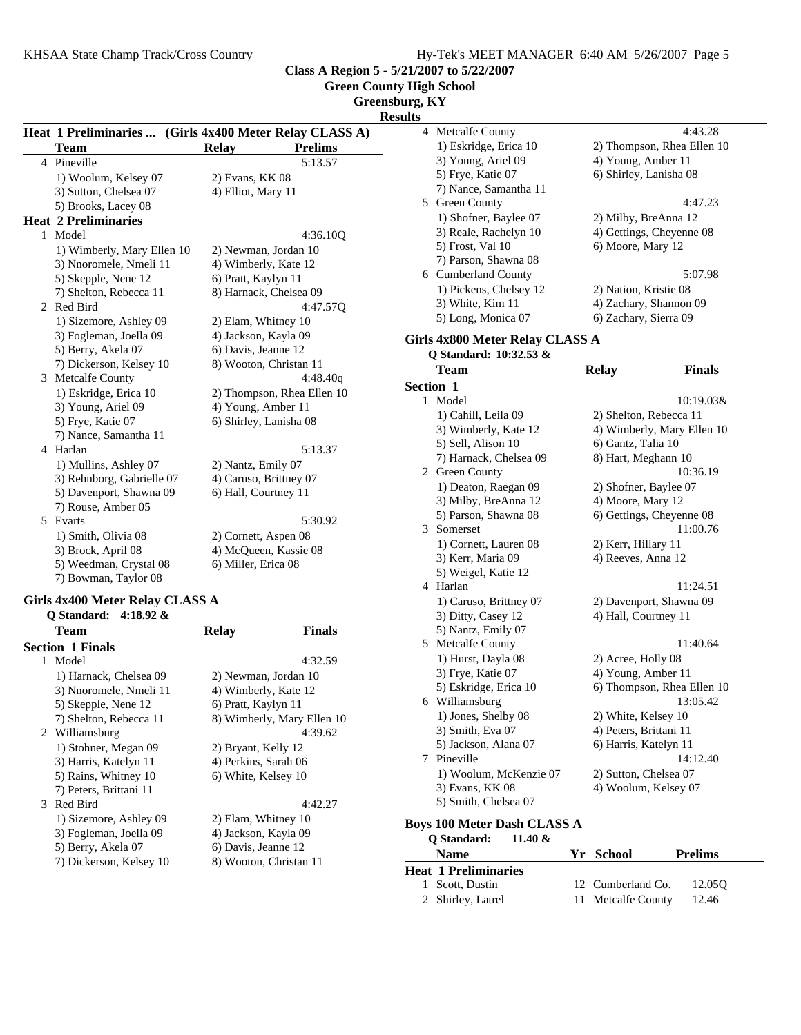**Class A Region 5 - 5/21/2007 to 5/22/2007 Green County High School**

|                                                         |                        |                            | Greensburg, KY<br><b>Results</b> |                        |                            |
|---------------------------------------------------------|------------------------|----------------------------|----------------------------------|------------------------|----------------------------|
| Heat 1 Preliminaries  (Girls 4x400 Meter Relay CLASS A) |                        |                            | 4 Metcalfe County                |                        | 4:43.28                    |
| <b>Team</b>                                             | <b>Relay</b>           | <b>Prelims</b>             | 1) Eskridge, Erica 10            |                        | 2) Thompson, Rhea Ellen 10 |
| 4 Pineville                                             |                        | 5:13.57                    | 3) Young, Ariel 09               | 4) Young, Amber 11     |                            |
| 1) Woolum, Kelsey 07                                    | 2) Evans, KK 08        |                            | 5) Frye, Katie 07                | 6) Shirley, Lanisha 08 |                            |
| 3) Sutton, Chelsea 07                                   | 4) Elliot, Mary 11     |                            | 7) Nance, Samantha 11            |                        |                            |
| 5) Brooks, Lacey 08                                     |                        |                            | 5 Green County                   |                        | 4:47.23                    |
| <b>Heat 2 Preliminaries</b>                             |                        |                            | 1) Shofner, Baylee 07            | 2) Milby, BreAnna 12   |                            |
| 1 Model                                                 |                        | 4:36.10Q                   | 3) Reale, Rachelyn 10            |                        | 4) Gettings, Cheyenne 08   |
| 1) Wimberly, Mary Ellen 10                              |                        | 2) Newman, Jordan 10       | 5) Frost, Val 10                 | 6) Moore, Mary 12      |                            |
| 3) Nnoromele, Nmeli 11                                  | 4) Wimberly, Kate 12   |                            | 7) Parson, Shawna 08             |                        |                            |
| 5) Skepple, Nene 12                                     | 6) Pratt, Kaylyn 11    |                            | 6 Cumberland County              |                        | 5:07.98                    |
| 7) Shelton, Rebecca 11                                  |                        | 8) Harnack, Chelsea 09     | 1) Pickens, Chelsey 12           | 2) Nation, Kristie 08  |                            |
| 2 Red Bird                                              |                        | 4:47.57Q                   | 3) White, Kim 11                 |                        | 4) Zachary, Shannon 09     |
| 1) Sizemore, Ashley 09                                  | 2) Elam, Whitney 10    |                            | 5) Long, Monica 07               | 6) Zachary, Sierra 09  |                            |
| 3) Fogleman, Joella 09                                  | 4) Jackson, Kayla 09   |                            | Girls 4x800 Meter Relay CLASS A  |                        |                            |
| 5) Berry, Akela 07                                      | 6) Davis, Jeanne 12    |                            | Q Standard: 10:32.53 &           |                        |                            |
| 7) Dickerson, Kelsey 10                                 |                        | 8) Wooton, Christan 11     | <b>Team</b>                      |                        |                            |
| 3 Metcalfe County                                       |                        | 4:48.40q                   |                                  | <b>Relay</b>           | <b>Finals</b>              |
| 1) Eskridge, Erica 10                                   |                        | 2) Thompson, Rhea Ellen 10 | Section 1                        |                        |                            |
| 3) Young, Ariel 09                                      | 4) Young, Amber 11     |                            | 1 Model                          |                        | 10:19.03&                  |
| 5) Frye, Katie 07                                       | 6) Shirley, Lanisha 08 |                            | 1) Cahill, Leila 09              | 2) Shelton, Rebecca 11 |                            |
| 7) Nance, Samantha 11                                   |                        |                            | 3) Wimberly, Kate 12             |                        | 4) Wimberly, Mary Ellen 10 |
| 4 Harlan                                                |                        | 5:13.37                    | 5) Sell, Alison 10               | 6) Gantz, Talia 10     |                            |
| 1) Mullins, Ashley 07                                   | 2) Nantz, Emily 07     |                            | 7) Harnack, Chelsea 09           | 8) Hart, Meghann 10    |                            |
| 3) Rehnborg, Gabrielle 07                               | 4) Caruso, Brittney 07 |                            | 2 Green County                   |                        | 10:36.19                   |
| 5) Davenport, Shawna 09                                 | 6) Hall, Courtney 11   |                            | 1) Deaton, Raegan 09             | 2) Shofner, Baylee 07  |                            |
| 7) Rouse, Amber 05                                      |                        |                            | 3) Milby, BreAnna 12             | 4) Moore, Mary 12      |                            |
| 5 Evarts                                                |                        | 5:30.92                    | 5) Parson, Shawna 08             |                        | 6) Gettings, Cheyenne 08   |
| 1) Smith, Olivia 08                                     | 2) Cornett, Aspen 08   |                            | 3 Somerset                       |                        | 11:00.76                   |
| 3) Brock, April 08                                      |                        | 4) McQueen, Kassie 08      | 1) Cornett, Lauren 08            | 2) Kerr, Hillary 11    |                            |
| 5) Weedman, Crystal 08                                  | 6) Miller, Erica 08    |                            | 3) Kerr, Maria 09                | 4) Reeves, Anna 12     |                            |
| 7) Bowman, Taylor 08                                    |                        |                            | 5) Weigel, Katie 12              |                        |                            |
|                                                         |                        |                            | 4 Harlan                         |                        | 11:24.51                   |
| Girls 4x400 Meter Relay CLASS A                         |                        |                            | 1) Caruso, Brittney 07           |                        | 2) Davenport, Shawna 09    |
| Q Standard: 4:18.92 &                                   |                        |                            | 3) Ditty, Casey 12               | 4) Hall, Courtney 11   |                            |
| <b>Team</b>                                             | <b>Relay</b>           | <b>Finals</b>              | 5) Nantz, Emily 07               |                        |                            |
| <b>Section 1 Finals</b>                                 |                        |                            | 5 Metcalfe County                |                        | 11:40.64                   |

|   | Section 1 Finals        |                            |
|---|-------------------------|----------------------------|
| 1 | Model                   | 4:32.59                    |
|   | 1) Harnack, Chelsea 09  | 2) Newman, Jordan 10       |
|   | 3) Nnoromele, Nmeli 11  | 4) Wimberly, Kate 12       |
|   | 5) Skepple, Nene 12     | 6) Pratt, Kaylyn 11        |
|   | 7) Shelton, Rebecca 11  | 8) Wimberly, Mary Ellen 10 |
|   | 2 Williamsburg          | 4:39.62                    |
|   | 1) Stohner, Megan 09    | 2) Bryant, Kelly 12        |
|   | 3) Harris, Katelyn 11   | 4) Perkins, Sarah 06       |
|   | 5) Rains, Whitney 10    | 6) White, Kelsey 10        |
|   | 7) Peters, Brittani 11  |                            |
|   | 3 Red Bird              | 4:42.27                    |
|   | 1) Sizemore, Ashley 09  | 2) Elam, Whitney 10        |
|   | 3) Fogleman, Joella 09  | 4) Jackson, Kayla 09       |
|   | 5) Berry, Akela 07      | 6) Davis, Jeanne 12        |
|   | 7) Dickerson, Kelsey 10 | 8) Wooton, Christan 11     |

| 1 | Model                              |    |                            | 10:19.03&      |
|---|------------------------------------|----|----------------------------|----------------|
|   | 1) Cahill, Leila 09                |    | 2) Shelton, Rebecca 11     |                |
|   | 3) Wimberly, Kate 12               |    | 4) Wimberly, Mary Ellen 10 |                |
|   | 5) Sell, Alison 10                 |    | 6) Gantz, Talia 10         |                |
|   | 7) Harnack, Chelsea 09             |    | 8) Hart, Meghann 10        |                |
|   | 2 Green County                     |    |                            | 10:36.19       |
|   | 1) Deaton, Raegan 09               |    | 2) Shofner, Baylee 07      |                |
|   | 3) Milby, BreAnna 12               |    | 4) Moore, Mary 12          |                |
|   | 5) Parson, Shawna 08               |    | 6) Gettings, Cheyenne 08   |                |
| 3 | Somerset                           |    |                            | 11:00.76       |
|   | 1) Cornett, Lauren 08              |    | 2) Kerr, Hillary 11        |                |
|   | 3) Kerr, Maria 09                  |    | 4) Reeves, Anna 12         |                |
|   | 5) Weigel, Katie 12                |    |                            |                |
| 4 | Harlan                             |    |                            | 11:24.51       |
|   | 1) Caruso, Brittney 07             |    | 2) Davenport, Shawna 09    |                |
|   | 3) Ditty, Casey 12                 |    | 4) Hall, Courtney 11       |                |
|   | 5) Nantz, Emily 07                 |    |                            |                |
| 5 | <b>Metcalfe County</b>             |    |                            | 11:40.64       |
|   | 1) Hurst, Dayla 08                 |    | 2) Acree, Holly 08         |                |
|   | 3) Frye, Katie 07                  |    | 4) Young, Amber 11         |                |
|   | 5) Eskridge, Erica 10              |    | 6) Thompson, Rhea Ellen 10 |                |
|   | 6 Williamsburg                     |    |                            | 13:05.42       |
|   | 1) Jones, Shelby 08                |    | 2) White, Kelsey 10        |                |
|   | 3) Smith, Eva 07                   |    | 4) Peters, Brittani 11     |                |
|   | 5) Jackson, Alana 07               |    | 6) Harris, Katelyn 11      |                |
| 7 | Pineville                          |    |                            | 14:12.40       |
|   | 1) Woolum, McKenzie 07             |    | 2) Sutton, Chelsea 07      |                |
|   | 3) Evans, KK 08                    |    | 4) Woolum, Kelsey 07       |                |
|   | 5) Smith, Chelsea 07               |    |                            |                |
|   | <b>Boys 100 Meter Dash CLASS A</b> |    |                            |                |
|   | Q Standard:<br>11.40 $\&$          |    |                            |                |
|   | <b>Name</b>                        | Yr | School                     | <b>Prelims</b> |
|   | <b>Heat 1 Preliminaries</b>        |    |                            |                |
| 1 | Scott, Dustin                      | 12 | Cumberland Co.             | 12.05Q         |

- 2 Shirley, Latrel 11 Metcalfe County 12.46
-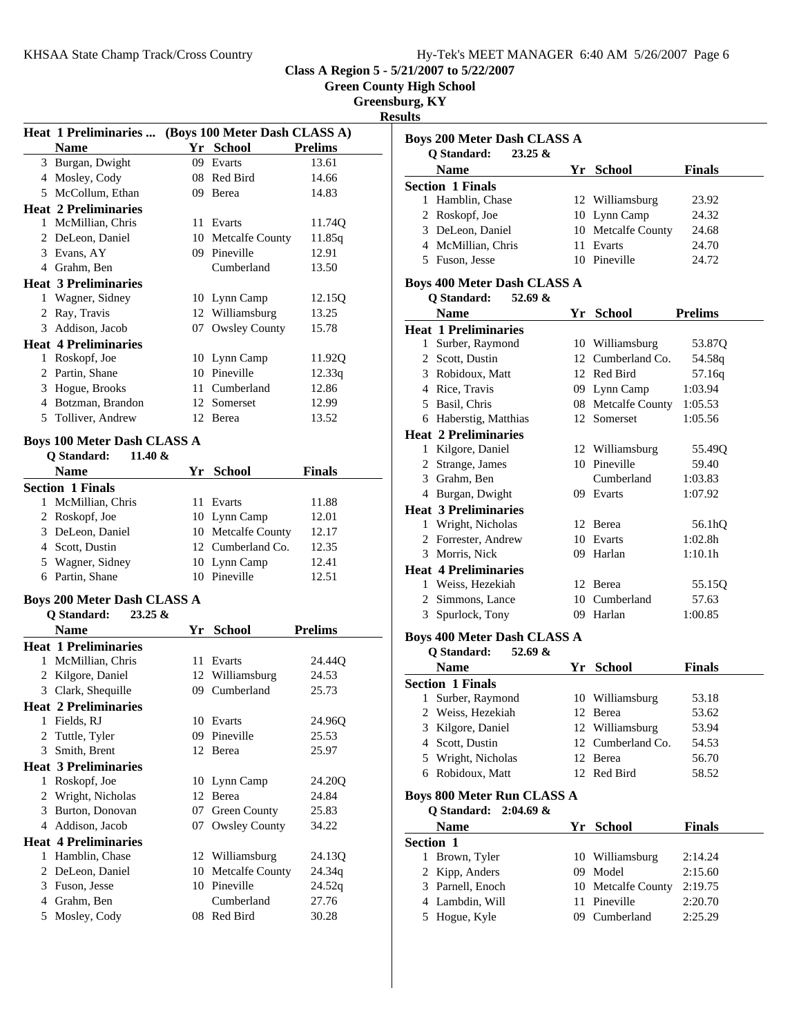**Boys 200 Meter Dash CLASS A**

**Class A Region 5 - 5/21/2007 to 5/22/2007**

**Green County High School**

**Greensburg, KY**

**Results**

|   | <b>Heat 1 Preliminaries </b>                  |      | (Boys 100 Meter Dash CLASS A)      |                |
|---|-----------------------------------------------|------|------------------------------------|----------------|
|   | <b>Name</b>                                   |      | Yr School                          | <b>Prelims</b> |
|   | 3 Burgan, Dwight                              | 09   | Evarts                             | 13.61          |
|   | 4 Mosley, Cody                                |      | 08 Red Bird                        | 14.66          |
|   | 5 McCollum, Ethan                             |      | 09 Berea                           | 14.83          |
|   | <b>Heat 2 Preliminaries</b>                   |      |                                    |                |
|   | 1 McMillian, Chris                            |      | 11 Evarts                          | 11.74Q         |
|   | 2 DeLeon, Daniel                              |      | 10 Metcalfe County                 | 11.85q         |
|   | 3 Evans, AY                                   |      | 09 Pineville                       | 12.91          |
|   | 4 Grahm, Ben                                  |      | Cumberland                         | 13.50          |
|   | <b>Heat 3 Preliminaries</b>                   |      |                                    |                |
|   | 1 Wagner, Sidney                              |      | 10 Lynn Camp                       | 12.15Q         |
|   | 2 Ray, Travis                                 |      | 12 Williamsburg                    | 13.25          |
|   | 3 Addison, Jacob                              |      | 07 Owsley County                   | 15.78          |
|   | <b>Heat 4 Preliminaries</b>                   |      |                                    |                |
|   | 1 Roskopf, Joe                                |      | 10 Lynn Camp                       | 11.92Q         |
|   | 2 Partin, Shane                               |      | 10 Pineville                       | 12.33q         |
|   | 3 Hogue, Brooks                               |      | 11 Cumberland                      | 12.86          |
|   | 4 Botzman, Brandon                            |      | 12 Somerset                        | 12.99          |
|   | 5 Tolliver, Andrew                            |      | 12 Berea                           | 13.52          |
|   |                                               |      |                                    |                |
|   | <b>Boys 100 Meter Dash CLASS A</b><br>11.40 & |      |                                    |                |
|   | Q Standard:                                   |      |                                    |                |
|   | <b>Name</b>                                   |      | Yr School                          | <b>Finals</b>  |
|   | <b>Section 1 Finals</b><br>1 McMillian, Chris | 11 - | Evarts                             | 11.88          |
|   |                                               |      |                                    | 12.01          |
|   | 2 Roskopf, Joe<br>3 DeLeon, Daniel            |      | 10 Lynn Camp<br>10 Metcalfe County | 12.17          |
|   | 4 Scott, Dustin                               |      | 12 Cumberland Co.                  | 12.35          |
|   | 5 Wagner, Sidney                              |      | 10 Lynn Camp                       | 12.41          |
|   | 6 Partin, Shane                               |      | 10 Pineville                       | 12.51          |
|   |                                               |      |                                    |                |
|   | <b>Boys 200 Meter Dash CLASS A</b>            |      |                                    |                |
|   | Q Standard:<br>$23.25 \&$                     |      |                                    |                |
|   | <b>Name</b>                                   | Yr   | <b>School</b>                      | <b>Prelims</b> |
|   | <b>Heat 1 Preliminaries</b>                   |      |                                    |                |
|   | 1 McMillian, Chris                            |      | 11 Evarts                          | 24.44Q         |
|   | 2 Kilgore, Daniel                             |      | 12 Williamsburg                    | 24.53          |
|   | 3 Clark, Shequille                            |      | 09 Cumberland                      | 25.73          |
|   | <b>Heat 2 Preliminaries</b>                   |      |                                    |                |
|   | 1 Fields, RJ                                  |      | 10 Evarts                          | 24.96Q         |
| 2 | Tuttle, Tyler                                 | 09   | Pineville                          | 25.53          |
| 3 | Smith, Brent                                  | 12   | Berea                              | 25.97          |
|   | <b>Heat 3 Preliminaries</b>                   |      |                                    |                |
| 1 | Roskopf, Joe                                  |      | 10 Lynn Camp                       | 24.20Q         |
| 2 | Wright, Nicholas                              |      | 12 Berea                           | 24.84          |
|   | 3 Burton, Donovan                             | 07   | <b>Green County</b>                | 25.83          |
|   | 4 Addison, Jacob                              | 07   | <b>Owsley County</b>               | 34.22          |
|   | <b>Heat 4 Preliminaries</b>                   |      |                                    |                |
|   | 1 Hamblin, Chase                              |      | 12 Williamsburg                    | 24.13Q         |
| 2 | DeLeon, Daniel                                | 10   | Metcalfe County                    | 24.34q         |
|   | 3 Fuson, Jesse                                |      | 10 Pineville                       | 24.52q         |
|   | 4 Grahm, Ben                                  |      | Cumberland                         | 27.76          |
| 5 | Mosley, Cody                                  |      | 08 Red Bird                        | 30.28          |
|   |                                               |      |                                    |                |

|                  | $23.25 \&$<br>Q Standard:          |    |                    |                |
|------------------|------------------------------------|----|--------------------|----------------|
|                  | <b>Name</b>                        |    | Yr School          | <b>Finals</b>  |
|                  | <b>Section 1 Finals</b>            |    |                    |                |
|                  | 1 Hamblin, Chase                   |    | 12 Williamsburg    | 23.92          |
|                  | 2 Roskopf, Joe                     |    | 10 Lynn Camp       | 24.32          |
|                  | 3 DeLeon, Daniel                   |    | 10 Metcalfe County | 24.68          |
|                  | 4 McMillian, Chris                 |    | 11 Evarts          | 24.70          |
|                  | 5 Fuson, Jesse                     |    | 10 Pineville       | 24.72          |
|                  |                                    |    |                    |                |
|                  | Boys 400 Meter Dash CLASS A        |    |                    |                |
|                  | Q Standard:<br>52.69 &             |    |                    |                |
|                  | <b>Name</b>                        |    | Yr School          | <b>Prelims</b> |
|                  | <b>Heat 1 Preliminaries</b>        |    |                    |                |
|                  | 1 Surber, Raymond                  |    | 10 Williamsburg    | 53.87Q         |
|                  | 2 Scott, Dustin                    |    | 12 Cumberland Co.  | 54.58q         |
|                  | 3 Robidoux, Matt                   |    | 12 Red Bird        | 57.16q         |
|                  | 4 Rice, Travis                     |    | 09 Lynn Camp       | 1:03.94        |
|                  | 5 Basil, Chris                     |    | 08 Metcalfe County | 1:05.53        |
|                  | 6 Haberstig, Matthias              |    | 12 Somerset        | 1:05.56        |
|                  | <b>Heat 2 Preliminaries</b>        |    |                    |                |
|                  | 1 Kilgore, Daniel                  |    | 12 Williamsburg    | 55.49Q         |
|                  | 2 Strange, James                   |    | 10 Pineville       | 59.40          |
|                  | 3 Grahm. Ben                       |    | Cumberland         | 1:03.83        |
|                  | 4 Burgan, Dwight                   |    | 09 Evarts          | 1:07.92        |
|                  | <b>Heat 3 Preliminaries</b>        |    |                    |                |
|                  | 1 Wright, Nicholas                 |    | 12 Berea           | 56.1hQ         |
|                  | 2 Forrester, Andrew                |    | 10 Evarts          | 1:02.8h        |
|                  | 3 Morris, Nick                     |    | 09 Harlan          | 1:10.1h        |
|                  | <b>Heat 4 Preliminaries</b>        |    |                    |                |
|                  | 1 Weiss, Hezekiah                  |    | 12 Berea           | 55.15Q         |
|                  | 2 Simmons, Lance                   |    | 10 Cumberland      | 57.63          |
|                  | 3 Spurlock, Tony                   |    | 09 Harlan          | 1:00.85        |
|                  | <b>Boys 400 Meter Dash CLASS A</b> |    |                    |                |
|                  | Q Standard:<br>52.69 &             |    |                    |                |
|                  | <b>Name</b>                        |    | Yr School          | <b>Finals</b>  |
|                  | <b>Section 1 Finals</b>            |    |                    |                |
| 1                | Surber, Raymond                    |    | 10 Williamsburg    | 53.18          |
| 2                | Weiss, Hezekiah                    |    | 12 Berea           | 53.62          |
| 3                | Kilgore, Daniel                    |    | 12 Williamsburg    | 53.94          |
|                  | 4 Scott, Dustin                    |    | 12 Cumberland Co.  | 54.53          |
| 5.               | Wright, Nicholas                   |    | 12 Berea           | 56.70          |
|                  | 6 Robidoux, Matt                   |    | 12 Red Bird        | 58.52          |
|                  |                                    |    |                    |                |
|                  | Boys 800 Meter Run CLASS A         |    |                    |                |
|                  | Q Standard:<br>$2:04.69 \&$        |    |                    |                |
|                  | <b>Name</b>                        |    | Yr School          | <b>Finals</b>  |
| <b>Section 1</b> |                                    |    |                    |                |
| 1                | Brown, Tyler                       |    | 10 Williamsburg    | 2:14.24        |
| 2                | Kipp, Anders                       | 09 | Model              | 2:15.60        |
|                  | 3 Parnell, Enoch                   | 10 | Metcalfe County    | 2:19.75        |
|                  | 4 Lambdin, Will                    | 11 | Pineville          | 2:20.70        |
|                  | 5 Hogue, Kyle                      |    | 09 Cumberland      | 2:25.29        |
|                  |                                    |    |                    |                |
|                  |                                    |    |                    |                |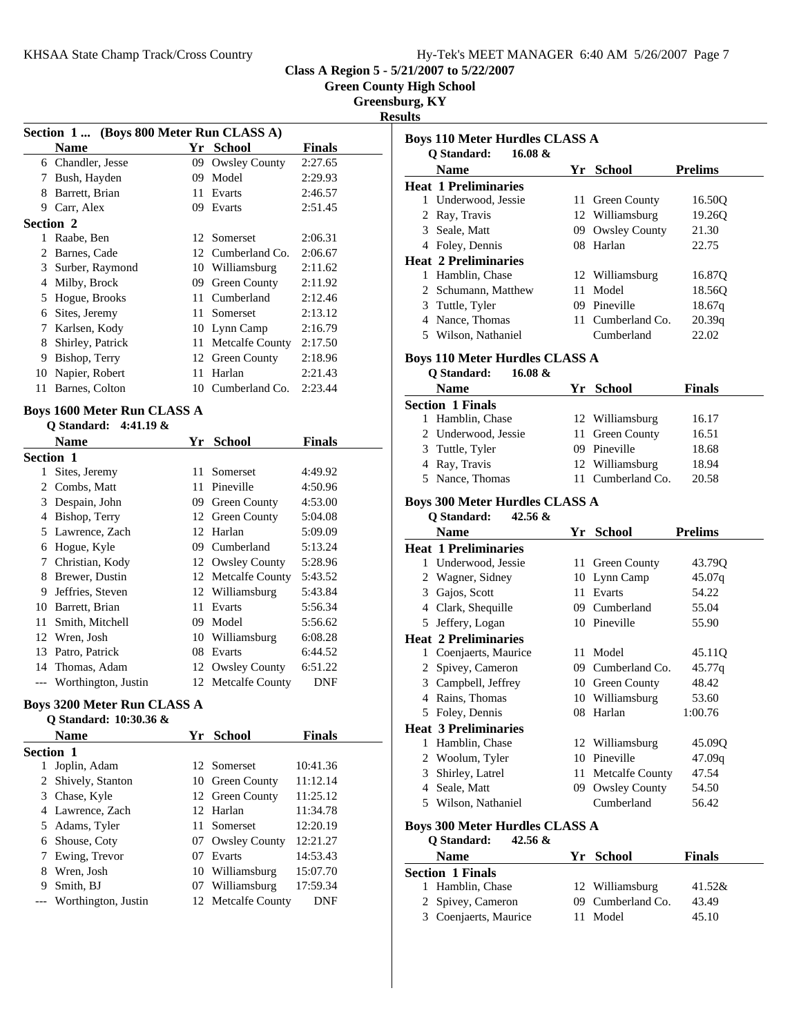| Hy-Tek's MEET MANAGER 6:40 AM 5/26/2007 Page 7 |
|------------------------------------------------|
|------------------------------------------------|

**Green County High School**

**Greensburg, KY**

**Resu** 

| Section 1 (Boys 800 Meter Run CLASS A) |                                    |    |                 |               |  |
|----------------------------------------|------------------------------------|----|-----------------|---------------|--|
|                                        | <b>Name</b>                        |    | Yr School       | <b>Finals</b> |  |
|                                        | 6 Chandler, Jesse                  | 09 | Owsley County   | 2:27.65       |  |
| 7                                      | Bush, Hayden                       | 09 | Model           | 2:29.93       |  |
| 8                                      | Barrett, Brian                     | 11 | Evarts          | 2:46.57       |  |
| 9                                      | Carr, Alex                         | 09 | Evarts          | 2:51.45       |  |
| Section 2                              |                                    |    |                 |               |  |
| 1                                      | Raabe, Ben                         | 12 | Somerset        | 2:06.31       |  |
| $\mathfrak{D}$                         | Barnes, Cade                       | 12 | Cumberland Co.  | 2:06.67       |  |
| 3                                      | Surber, Raymond                    | 10 | Williamsburg    | 2:11.62       |  |
| 4                                      | Milby, Brock                       | 09 | Green County    | 2:11.92       |  |
| 5                                      | Hogue, Brooks                      | 11 | Cumberland      | 2:12.46       |  |
| 6                                      | Sites, Jeremy                      | 11 | Somerset        | 2:13.12       |  |
| 7                                      | Karlsen, Kody                      | 10 | Lynn Camp       | 2:16.79       |  |
| 8                                      | Shirley, Patrick                   | 11 | Metcalfe County | 2:17.50       |  |
| 9                                      | Bishop, Terry                      |    | 12 Green County | 2:18.96       |  |
| 10                                     | Napier, Robert                     | 11 | Harlan          | 2:21.43       |  |
| 11                                     | Barnes, Colton                     | 10 | Cumberland Co.  | 2:23.44       |  |
|                                        | <b>Boys 1600 Meter Run CLASS A</b> |    |                 |               |  |
|                                        | O Standard: $4:41.19 \&$           |    |                 |               |  |
|                                        | Name                               | Yr | School          | <b>Finals</b> |  |

|                  | 1 vanne             | . . | pengun               | т піагэ |
|------------------|---------------------|-----|----------------------|---------|
| <b>Section 1</b> |                     |     |                      |         |
|                  | Sites, Jeremy       | 11  | Somerset             | 4:49.92 |
| 2                | Combs, Matt         | 11  | Pineville            | 4:50.96 |
| 3                | Despain, John       | 09  | Green County         | 4:53.00 |
| 4                | Bishop, Terry       | 12  | Green County         | 5:04.08 |
| 5.               | Lawrence, Zach      |     | 12 Harlan            | 5:09.09 |
| 6                | Hogue, Kyle         | 09. | Cumberland           | 5:13.24 |
| 7                | Christian, Kody     |     | 12 Owsley County     | 5:28.96 |
| 8                | Brewer, Dustin      |     | 12 Metcalfe County   | 5:43.52 |
| 9                | Jeffries, Steven    |     | 12 Williamsburg      | 5:43.84 |
| 10               | Barrett, Brian      | 11  | Evarts               | 5:56.34 |
| 11               | Smith, Mitchell     | 09  | Model                | 5:56.62 |
| 12               | Wren, Josh          | 10  | Williamsburg         | 6:08.28 |
| 13               | Patro, Patrick      | 08  | Evarts               | 6:44.52 |
| 14               | Thomas, Adam        | 12  | <b>Owsley County</b> | 6:51.22 |
|                  | Worthington, Justin |     | 12 Metcalfe County   | DNF     |

## **Boys 3200 Meter Run CLASS A**

|                  | O Standard: 10:30.36 & |     |                    |               |
|------------------|------------------------|-----|--------------------|---------------|
|                  | <b>Name</b>            |     | Yr School          | <b>Finals</b> |
| <b>Section 1</b> |                        |     |                    |               |
|                  | Joplin, Adam           |     | 12. Somerset       | 10:41.36      |
|                  | 2 Shively, Stanton     |     | 10 Green County    | 11:12.14      |
|                  | 3 Chase, Kyle          |     | 12 Green County    | 11:25.12      |
|                  | 4 Lawrence, Zach       |     | 12 Harlan          | 11:34.78      |
|                  | 5 Adams, Tyler         | 11. | Somerset           | 12:20.19      |
|                  | 6 Shouse, Coty         |     | 07 Owsley County   | 12:21.27      |
|                  | Ewing, Trevor          |     | 07 Evarts          | 14:53.43      |
| 8                | Wren, Josh             |     | 10 Williamsburg    | 15:07.70      |
| 9                | Smith, BJ              |     | 07 Williamsburg    | 17:59.34      |
|                  | Worthington, Justin    |     | 12 Metcalfe County | DNF           |

| ults                                                            |    |                   |                |
|-----------------------------------------------------------------|----|-------------------|----------------|
| <b>Boys 110 Meter Hurdles CLASS A</b>                           |    |                   |                |
| O Standard:<br>16.08 $&$                                        |    |                   |                |
| <b>Name</b>                                                     |    | Yr School         | <b>Prelims</b> |
| <b>Heat 1 Preliminaries</b>                                     |    |                   |                |
| 1 Underwood, Jessie                                             | 11 | Green County      | 16.50Q         |
| 2 Ray, Travis                                                   | 12 | Williamsburg      | 19.26Q         |
| 3 Seale, Matt                                                   |    | 09 Owsley County  | 21.30          |
| 4 Foley, Dennis                                                 |    | 08 Harlan         | 22.75          |
| <b>Heat 2 Preliminaries</b>                                     |    |                   |                |
| 1 Hamblin, Chase                                                |    | 12 Williamsburg   | 16.87Q         |
| 2 Schumann, Matthew                                             | 11 | Model             | 18.56Q         |
| 3 Tuttle, Tyler                                                 |    | 09 Pineville      | 18.67q         |
| 4 Nance, Thomas                                                 |    | 11 Cumberland Co. | 20.39q         |
| 5 Wilson, Nathaniel                                             |    | Cumberland        | 22.02          |
|                                                                 |    |                   |                |
| <b>Boys 110 Meter Hurdles CLASS A</b>                           |    |                   |                |
| Q Standard:<br>16.08 &                                          |    |                   |                |
| Name                                                            |    | Yr School         | <b>Finals</b>  |
| <b>Section 1 Finals</b>                                         |    |                   |                |
| Hamblin, Chase<br>1                                             |    | 12 Williamsburg   | 16.17          |
| 2 Underwood, Jessie                                             | 11 | Green County      | 16.51          |
| 3 Tuttle, Tyler                                                 |    | 09 Pineville      | 18.68          |
| 4 Ray, Travis                                                   |    | 12 Williamsburg   | 18.94          |
| 5 Nance, Thomas                                                 |    | 11 Cumberland Co. | 20.58          |
|                                                                 |    |                   |                |
| <b>Boys 300 Meter Hurdles CLASS A</b><br>Q Standard:<br>42.56 & |    |                   |                |
|                                                                 |    |                   |                |
|                                                                 |    |                   |                |
| <b>Name</b>                                                     |    | Yr School         | <b>Prelims</b> |
| <b>Heat 1 Preliminaries</b>                                     |    |                   |                |
| 1 Underwood, Jessie                                             | 11 | Green County      | 43.79Q         |
| 2 Wagner, Sidney                                                |    | 10 Lynn Camp      | 45.07q         |
| 3 Gajos, Scott                                                  | 11 | Evarts            | 54.22          |
| 4 Clark, Shequille                                              |    | 09 Cumberland     | 55.04          |
| 5 Jeffery, Logan                                                |    | 10 Pineville      | 55.90          |
| <b>Heat 2 Preliminaries</b>                                     |    |                   |                |
| 1 Coenjaerts, Maurice                                           |    | 11 Model          | 45.11Q         |
| 2 Spivey, Cameron                                               |    | 09 Cumberland Co. | 45.77q         |
| 3 Campbell, Jeffrey                                             |    | 10 Green County   | 48.42          |
| 4 Rains, Thomas                                                 |    | 10 Williamsburg   | 53.60          |
| 5 Foley, Dennis                                                 |    | 08 Harlan         | 1:00.76        |
| <b>Heat 3 Preliminaries</b>                                     |    |                   |                |
| 1 Hamblin, Chase                                                |    | 12 Williamsburg   | 45.09Q         |
| 2 Woolum, Tyler                                                 |    | 10 Pineville      | 47.09q         |
| 3 Shirley, Latrel                                               | 11 | Metcalfe County   | 47.54          |
| 4 Seale, Matt                                                   |    | 09 Owsley County  | 54.50          |
| 5 Wilson, Nathaniel                                             |    | Cumberland        | 56.42          |
| <b>Boys 300 Meter Hurdles CLASS A</b>                           |    |                   |                |
| <b>Q</b> Standard:<br>42.56 &                                   |    |                   |                |
| <b>Name</b>                                                     |    | Yr School         | Finals         |
| <b>Section 1 Finals</b>                                         |    |                   |                |
| 1 Hamblin, Chase                                                |    | 12 Williamsburg   | 41.52&         |
| 2 Spivey, Cameron                                               |    | 09 Cumberland Co. | 43.49          |
| 3 Coenjaerts, Maurice                                           | 11 | Model             | 45.10          |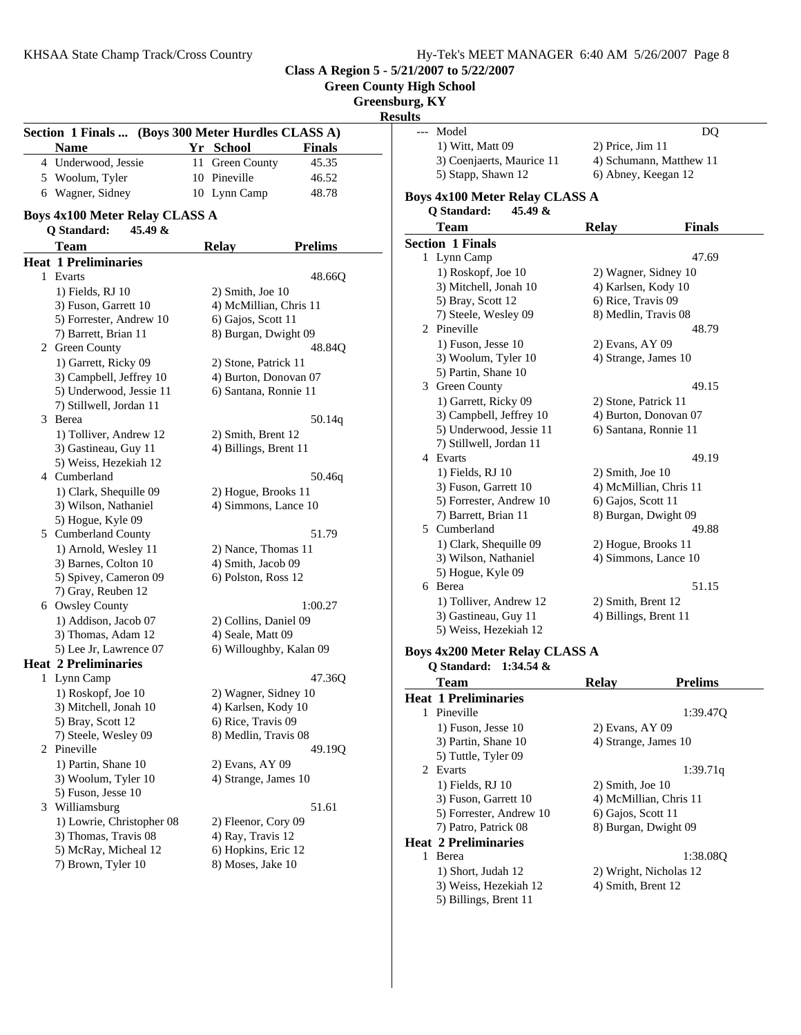| Hy-Tek's MEET MANAGER 6:40 AM 5/26/2007 Page 8 |  |  |
|------------------------------------------------|--|--|
|                                                |  |  |

**Green County High School**

**Greensburg, KY**

|                                                    |                        |                         | <b>Results</b>                                |              |                                             |
|----------------------------------------------------|------------------------|-------------------------|-----------------------------------------------|--------------|---------------------------------------------|
| Section 1 Finals  (Boys 300 Meter Hurdles CLASS A) |                        |                         | Model<br>$---$                                |              | <b>DQ</b>                                   |
| <b>Name</b>                                        | Yr School              | <b>Finals</b>           | 1) Witt, Matt 09<br>3) Coenjaerts, Maurice 11 |              | 2) Price, Jim 11<br>4) Schumann, Matthew 11 |
| 4 Underwood, Jessie                                | 11 Green County        | 45.35                   | 5) Stapp, Shawn 12                            |              | 6) Abney, Keegan 12                         |
| 5 Woolum, Tyler                                    | 10 Pineville           | 46.52                   |                                               |              |                                             |
| 6 Wagner, Sidney                                   | 10 Lynn Camp           | 48.78                   | <b>Boys 4x100 Meter Relay CLASS A</b>         |              |                                             |
| <b>Boys 4x100 Meter Relay CLASS A</b>              |                        |                         | 45.49 &<br>Q Standard:                        |              |                                             |
| 45.49 &<br>Q Standard:                             |                        |                         | <b>Team</b>                                   | <b>Relay</b> | <b>Finals</b>                               |
| <b>Team</b>                                        | <b>Relay</b>           | <b>Prelims</b>          | <b>Section 1 Finals</b>                       |              |                                             |
| <b>Heat 1 Preliminaries</b>                        |                        |                         | 1 Lynn Camp                                   |              | 47.69                                       |
| 1 Evarts                                           |                        | 48.66Q                  | 1) Roskopf, Joe 10                            |              | 2) Wagner, Sidney 10                        |
| 1) Fields, RJ 10                                   | 2) Smith, Joe 10       |                         | 3) Mitchell, Jonah 10                         |              | 4) Karlsen, Kody 10                         |
| 3) Fuson, Garrett 10                               | 4) McMillian, Chris 11 |                         | 5) Bray, Scott 12                             |              | 6) Rice, Travis 09                          |
| 5) Forrester, Andrew 10                            | 6) Gajos, Scott 11     |                         | 7) Steele, Wesley 09                          |              | 8) Medlin, Travis 08                        |
| 7) Barrett, Brian 11                               | 8) Burgan, Dwight 09   |                         | 2 Pineville                                   |              | 48.79                                       |
| 2 Green County                                     |                        | 48.84Q                  | 1) Fuson, Jesse 10                            |              | 2) Evans, AY 09                             |
| 1) Garrett, Ricky 09                               | 2) Stone, Patrick 11   |                         | 3) Woolum, Tyler 10                           |              | 4) Strange, James 10                        |
| 3) Campbell, Jeffrey 10                            | 4) Burton, Donovan 07  |                         | 5) Partin, Shane 10                           |              |                                             |
|                                                    |                        |                         | 3 Green County                                |              | 49.15                                       |
| 5) Underwood, Jessie 11                            | 6) Santana, Ronnie 11  |                         | 1) Garrett, Ricky 09                          |              | 2) Stone, Patrick 11                        |
| 7) Stillwell, Jordan 11                            |                        |                         | 3) Campbell, Jeffrey 10                       |              | 4) Burton, Donovan 07                       |
| 3 Berea                                            |                        | 50.14q                  | 5) Underwood, Jessie 11                       |              | 6) Santana, Ronnie 11                       |
| 1) Tolliver, Andrew 12                             | 2) Smith, Brent 12     |                         | 7) Stillwell, Jordan 11                       |              |                                             |
| 3) Gastineau, Guy 11                               | 4) Billings, Brent 11  |                         | 4 Evarts                                      |              | 49.19                                       |
| 5) Weiss, Hezekiah 12                              |                        |                         | 1) Fields, RJ 10                              |              | $2)$ Smith, Joe 10                          |
| 4 Cumberland                                       |                        | 50.46q                  | 3) Fuson, Garrett 10                          |              | 4) McMillian, Chris 11                      |
| 1) Clark, Shequille 09                             | 2) Hogue, Brooks 11    |                         | 5) Forrester, Andrew 10                       |              | 6) Gajos, Scott 11                          |
| 3) Wilson, Nathaniel                               | 4) Simmons, Lance 10   |                         | 7) Barrett, Brian 11                          |              | 8) Burgan, Dwight 09                        |
| 5) Hogue, Kyle 09                                  |                        |                         | 5 Cumberland                                  |              | 49.88                                       |
| 5 Cumberland County                                |                        | 51.79                   |                                               |              |                                             |
| 1) Arnold, Wesley 11                               | 2) Nance, Thomas 11    |                         | 1) Clark, Shequille 09                        |              | 2) Hogue, Brooks 11<br>4) Simmons, Lance 10 |
| 3) Barnes, Colton 10                               | 4) Smith, Jacob 09     |                         | 3) Wilson, Nathaniel                          |              |                                             |
| 5) Spivey, Cameron 09                              | 6) Polston, Ross 12    |                         | 5) Hogue, Kyle 09<br>6 Berea                  |              | 51.15                                       |
| 7) Gray, Reuben 12                                 |                        |                         |                                               |              |                                             |
| 6 Owsley County                                    |                        | 1:00.27                 | 1) Tolliver, Andrew 12                        |              | 2) Smith, Brent 12                          |
| 1) Addison, Jacob 07                               | 2) Collins, Daniel 09  |                         | 3) Gastineau, Guy 11                          |              | 4) Billings, Brent 11                       |
| 3) Thomas, Adam 12                                 | 4) Seale, Matt 09      |                         | 5) Weiss, Hezekiah 12                         |              |                                             |
| 5) Lee Jr, Lawrence 07                             |                        | 6) Willoughby, Kalan 09 | <b>Boys 4x200 Meter Relay CLASS A</b>         |              |                                             |
| <b>Heat 2 Preliminaries</b>                        |                        |                         | Q Standard: 1:34.54 &                         |              |                                             |
| 1 Lynn Camp                                        |                        | 47.36Q                  | <b>Team</b>                                   | Relay        | <b>Prelims</b>                              |
| 1) Roskopf, Joe 10                                 | 2) Wagner, Sidney 10   |                         | <b>Heat 1 Preliminaries</b>                   |              |                                             |
| 3) Mitchell, Jonah 10                              | 4) Karlsen, Kody 10    |                         | 1 Pineville                                   |              | 1:39.47Q                                    |
| 5) Bray, Scott 12                                  | 6) Rice, Travis 09     |                         | 1) Fuson, Jesse 10                            |              |                                             |
| 7) Steele, Wesley 09                               | 8) Medlin, Travis 08   |                         | 3) Partin, Shane 10                           |              | 2) Evans, AY 09<br>4) Strange, James 10     |
| 2 Pineville                                        |                        | 49.19Q                  | 5) Tuttle, Tyler 09                           |              |                                             |
| 1) Partin, Shane 10                                | 2) Evans, AY 09        |                         | 2 Evarts                                      |              |                                             |
| 3) Woolum, Tyler 10                                | 4) Strange, James 10   |                         |                                               |              | 1:39.71q                                    |
| 5) Fuson, Jesse 10                                 |                        |                         | 1) Fields, RJ 10                              |              | $2)$ Smith, Joe 10                          |
| 3 Williamsburg                                     |                        | 51.61                   | 3) Fuson, Garrett 10                          |              | 4) McMillian, Chris 11                      |
| 1) Lowrie, Christopher 08                          | 2) Fleenor, Cory 09    |                         | 5) Forrester, Andrew 10                       |              | 6) Gajos, Scott 11                          |
| 3) Thomas, Travis 08                               | 4) Ray, Travis 12      |                         | 7) Patro, Patrick 08                          |              | 8) Burgan, Dwight 09                        |
| 5) McRay, Micheal 12                               | 6) Hopkins, Eric 12    |                         | <b>Heat 2 Preliminaries</b>                   |              |                                             |
| 7) Brown, Tyler 10                                 | 8) Moses, Jake 10      |                         | 1 Berea                                       |              | 1:38.08Q                                    |
|                                                    |                        |                         | 1) Short, Judah 12                            |              | 2) Wright, Nicholas 12                      |
|                                                    |                        |                         | 3) Weiss, Hezekiah 12                         |              | 4) Smith, Brent 12                          |

5) Billings, Brent 11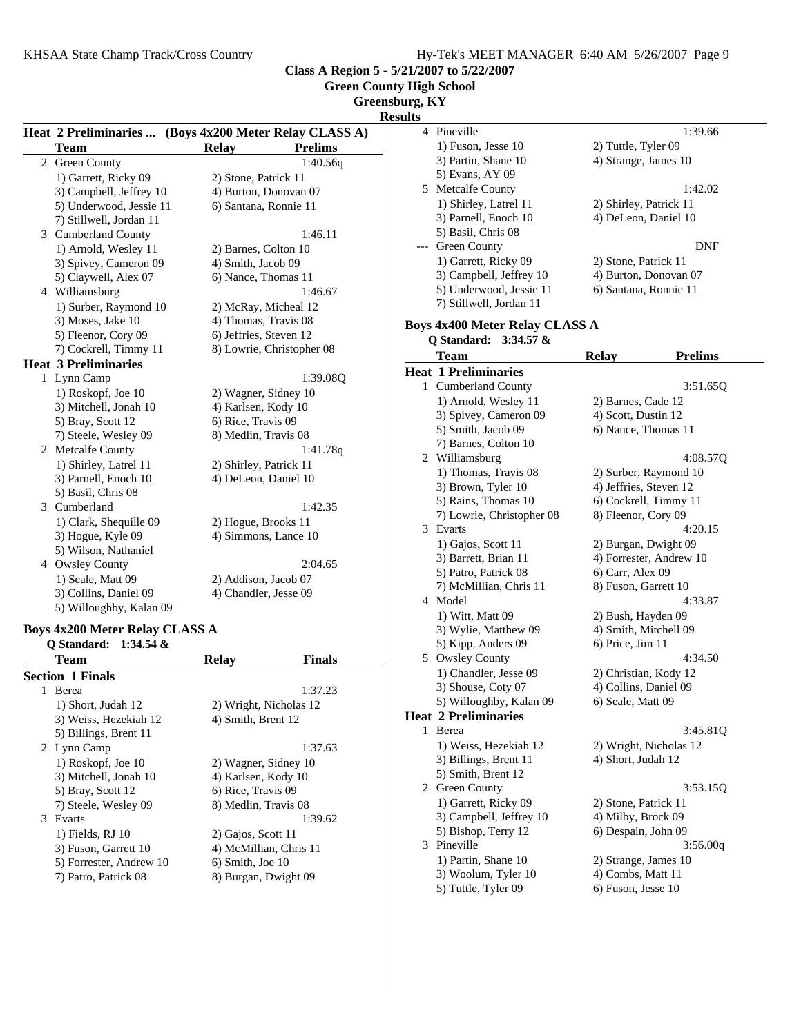1:39.66

 $1:42.02$ 

3:51.65Q

4:08.57Q

 $4:20.15$ 

 $4:33.87$ 

4:34.50

 $3:45.81Q$ 

3:53.15Q

**Class A Region 5 - 5/21/2007 to 5/22/2007**

**Green County High School**

**Greensburg, KY**

**Results**

|  |                                       |                                                        | webured                               |                                |  |
|--|---------------------------------------|--------------------------------------------------------|---------------------------------------|--------------------------------|--|
|  |                                       | Heat 2 Preliminaries  (Boys 4x200 Meter Relay CLASS A) | 4 Pineville                           | 1:39.66                        |  |
|  | <b>Team</b>                           | <b>Relay</b><br><b>Prelims</b>                         | 1) Fuson, Jesse 10                    | 2) Tuttle, Tyler 09            |  |
|  | 2 Green County                        | 1:40.56q                                               | 3) Partin, Shane 10                   | 4) Strange, James 10           |  |
|  | 1) Garrett, Ricky 09                  | 2) Stone, Patrick 11                                   | 5) Evans, AY 09                       |                                |  |
|  | 3) Campbell, Jeffrey 10               | 4) Burton, Donovan 07                                  | 5 Metcalfe County                     | 1:42.02                        |  |
|  | 5) Underwood, Jessie 11               | 6) Santana, Ronnie 11                                  | 1) Shirley, Latrel 11                 | 2) Shirley, Patrick 11         |  |
|  | 7) Stillwell, Jordan 11               |                                                        | 3) Parnell, Enoch 10                  | 4) DeLeon, Daniel 10           |  |
|  | 3 Cumberland County                   | 1:46.11                                                | 5) Basil, Chris 08                    |                                |  |
|  | 1) Arnold, Wesley 11                  | 2) Barnes, Colton 10                                   | --- Green County                      | <b>DNF</b>                     |  |
|  | 3) Spivey, Cameron 09                 | 4) Smith, Jacob 09                                     | 1) Garrett, Ricky 09                  | 2) Stone, Patrick 11           |  |
|  | 5) Claywell, Alex 07                  | 6) Nance, Thomas 11                                    | 3) Campbell, Jeffrey 10               | 4) Burton, Donovan 07          |  |
|  | 4 Williamsburg                        | 1:46.67                                                | 5) Underwood, Jessie 11               | 6) Santana, Ronnie 11          |  |
|  | 1) Surber, Raymond 10                 | 2) McRay, Micheal 12                                   | 7) Stillwell, Jordan 11               |                                |  |
|  | 3) Moses, Jake 10                     | 4) Thomas, Travis 08                                   |                                       |                                |  |
|  | 5) Fleenor, Cory 09                   | 6) Jeffries, Steven 12                                 | <b>Boys 4x400 Meter Relay CLASS A</b> |                                |  |
|  | 7) Cockrell, Timmy 11                 | 8) Lowrie, Christopher 08                              | Q Standard: 3:34.57 &                 |                                |  |
|  | <b>Heat 3 Preliminaries</b>           |                                                        | <b>Team</b>                           | <b>Relay</b><br><b>Prelims</b> |  |
|  | 1 Lynn Camp                           | 1:39.08Q                                               | <b>Heat 1 Preliminaries</b>           |                                |  |
|  | 1) Roskopf, Joe 10                    | 2) Wagner, Sidney 10                                   | 1 Cumberland County                   | 3:51.65                        |  |
|  | 3) Mitchell, Jonah 10                 | 4) Karlsen, Kody 10                                    | 1) Arnold, Wesley 11                  | 2) Barnes, Cade 12             |  |
|  | 5) Bray, Scott 12                     | 6) Rice, Travis 09                                     | 3) Spivey, Cameron 09                 | 4) Scott, Dustin 12            |  |
|  | 7) Steele, Wesley 09                  | 8) Medlin, Travis 08                                   | 5) Smith, Jacob 09                    | 6) Nance, Thomas 11            |  |
|  | 2 Metcalfe County                     | 1:41.78q                                               | 7) Barnes, Colton 10                  |                                |  |
|  | 1) Shirley, Latrel 11                 | 2) Shirley, Patrick 11                                 | 2 Williamsburg                        | 4:08.57                        |  |
|  | 3) Parnell, Enoch 10                  | 4) DeLeon, Daniel 10                                   | 1) Thomas, Travis 08                  | 2) Surber, Raymond 10          |  |
|  | 5) Basil, Chris 08                    |                                                        | 3) Brown, Tyler 10                    | 4) Jeffries, Steven 12         |  |
|  |                                       | 1:42.35                                                | 5) Rains, Thomas 10                   | 6) Cockrell, Timmy 11          |  |
|  | 3 Cumberland                          |                                                        | 7) Lowrie, Christopher 08             | 8) Fleenor, Cory 09            |  |
|  | 1) Clark, Shequille 09                | 2) Hogue, Brooks 11                                    | 3 Evarts                              | 4:20.15                        |  |
|  | 3) Hogue, Kyle 09                     | 4) Simmons, Lance 10                                   | 1) Gajos, Scott 11                    | 2) Burgan, Dwight 09           |  |
|  | 5) Wilson, Nathaniel                  |                                                        | 3) Barrett, Brian 11                  | 4) Forrester, Andrew 10        |  |
|  | 4 Owsley County                       | 2:04.65                                                | 5) Patro, Patrick 08                  | 6) Carr, Alex 09               |  |
|  | 1) Seale, Matt 09                     | 2) Addison, Jacob 07                                   | 7) McMillian, Chris 11                | 8) Fuson, Garrett 10           |  |
|  | 3) Collins, Daniel 09                 | 4) Chandler, Jesse 09                                  | 4 Model                               | 4:33.87                        |  |
|  | 5) Willoughby, Kalan 09               |                                                        | 1) Witt, Matt 09                      | 2) Bush, Hayden 09             |  |
|  | <b>Boys 4x200 Meter Relay CLASS A</b> |                                                        | 3) Wylie, Matthew 09                  | 4) Smith, Mitchell 09          |  |
|  | Q Standard: 1:34.54 &                 |                                                        | 5) Kipp, Anders 09                    | 6) Price, Jim 11               |  |
|  | <b>Team</b>                           | <b>Finals</b><br><b>Relay</b>                          | 5 Owsley County                       | 4:34.50                        |  |
|  | <b>Section 1 Finals</b>               |                                                        | 1) Chandler, Jesse 09                 | 2) Christian, Kody 12          |  |
|  | 1 Berea                               | 1:37.23                                                | 3) Shouse, Coty 07                    | 4) Collins, Daniel 09          |  |
|  |                                       |                                                        | 5) Willoughby, Kalan 09               | 6) Seale, Matt 09              |  |
|  | 1) Short, Judah 12                    | 2) Wright, Nicholas 12                                 | <b>Heat 2 Preliminaries</b>           |                                |  |
|  | 3) Weiss, Hezekiah 12                 | 4) Smith, Brent 12                                     | 1 Berea                               | 3:45.81                        |  |
|  | 5) Billings, Brent 11                 |                                                        | 1) Weiss, Hezekiah 12                 | 2) Wright, Nicholas 12         |  |
|  | 2 Lynn Camp                           | 1:37.63                                                | 3) Billings, Brent 11                 | 4) Short, Judah 12             |  |
|  | 1) Roskopf, Joe 10                    | 2) Wagner, Sidney 10                                   |                                       |                                |  |
|  | 3) Mitchell, Jonah 10                 | 4) Karlsen, Kody 10                                    | 5) Smith, Brent 12                    |                                |  |
|  | 5) Bray, Scott 12                     | 6) Rice, Travis 09                                     | 2 Green County                        | 3:53.15                        |  |
|  | 7) Steele, Wesley 09                  | 8) Medlin, Travis 08                                   | 1) Garrett, Ricky 09                  | 2) Stone, Patrick 11           |  |
|  | 3 Evarts                              | 1:39.62                                                | 3) Campbell, Jeffrey 10               | 4) Milby, Brock 09             |  |
|  | 1) Fields, RJ 10                      | 2) Gajos, Scott 11                                     | 5) Bishop, Terry 12                   | 6) Despain, John 09            |  |

3) Fuson, Garrett 10 4) McMillian, Chris 11

8) Burgan, Dwight 09

5) Forrester, Andrew 10 6) Smith, Joe 10<br>
7) Patro, Patrick 08 8) Burgan, Dwig

trick 11 rock 09 5) Bishop, Terry 12 6) Despain, John 09 3 3:56.00q Pineville 1) Partin, Shane 10 2) Strange, James 10<br>3) Woolum, Tyler 10 4) Combs, Matt 11

- 
- 5) Tuttle, Tyler 09 6) Fuson, Jesse 10

3) Woolum, Tyler 10